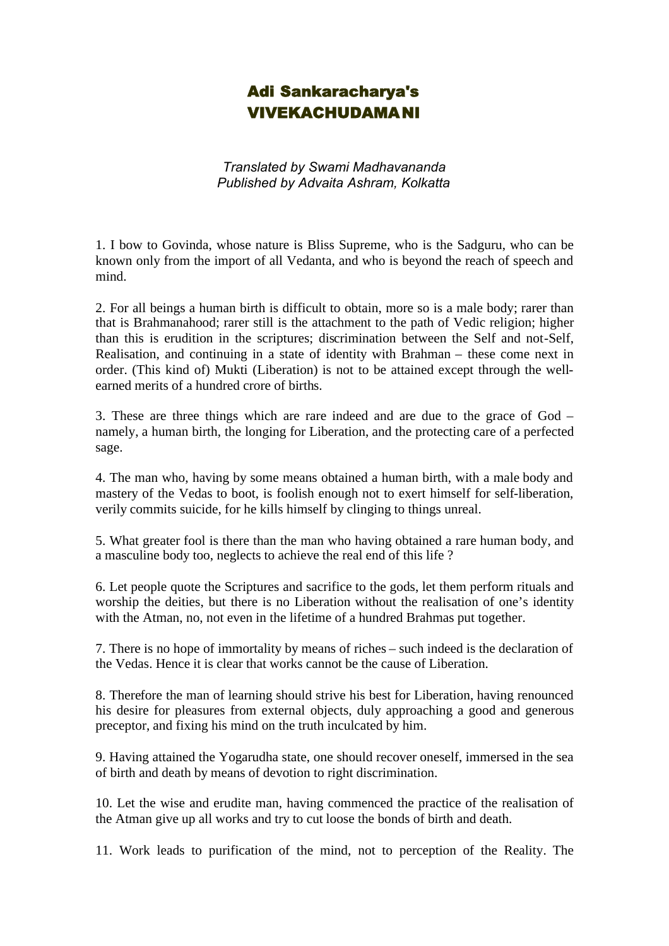## Adi Sankaracharya's VIVEKACHUDAMANI

*Translated by Swami Madhavananda Published by Advaita Ashram, Kolkatta*

1. I bow to Govinda, whose nature is Bliss Supreme, who is the Sadguru, who can be known only from the import of all Vedanta, and who is beyond the reach of speech and mind.

2. For all beings a human birth is difficult to obtain, more so is a male body; rarer than that is Brahmanahood; rarer still is the attachment to the path of Vedic religion; higher than this is erudition in the scriptures; discrimination between the Self and not-Self, Realisation, and continuing in a state of identity with Brahman – these come next in order. (This kind of) Mukti (Liberation) is not to be attained except through the wellearned merits of a hundred crore of births.

3. These are three things which are rare indeed and are due to the grace of God – namely, a human birth, the longing for Liberation, and the protecting care of a perfected sage.

4. The man who, having by some means obtained a human birth, with a male body and mastery of the Vedas to boot, is foolish enough not to exert himself for self-liberation, verily commits suicide, for he kills himself by clinging to things unreal.

5. What greater fool is there than the man who having obtained a rare human body, and a masculine body too, neglects to achieve the real end of this life ?

6. Let people quote the Scriptures and sacrifice to the gods, let them perform rituals and worship the deities, but there is no Liberation without the realisation of one's identity with the Atman, no, not even in the lifetime of a hundred Brahmas put together.

7. There is no hope of immortality by means of riches – such indeed is the declaration of the Vedas. Hence it is clear that works cannot be the cause of Liberation.

8. Therefore the man of learning should strive his best for Liberation, having renounced his desire for pleasures from external objects, duly approaching a good and generous preceptor, and fixing his mind on the truth inculcated by him.

9. Having attained the Yogarudha state, one should recover oneself, immersed in the sea of birth and death by means of devotion to right discrimination.

10. Let the wise and erudite man, having commenced the practice of the realisation of the Atman give up all works and try to cut loose the bonds of birth and death.

11. Work leads to purification of the mind, not to perception of the Reality. The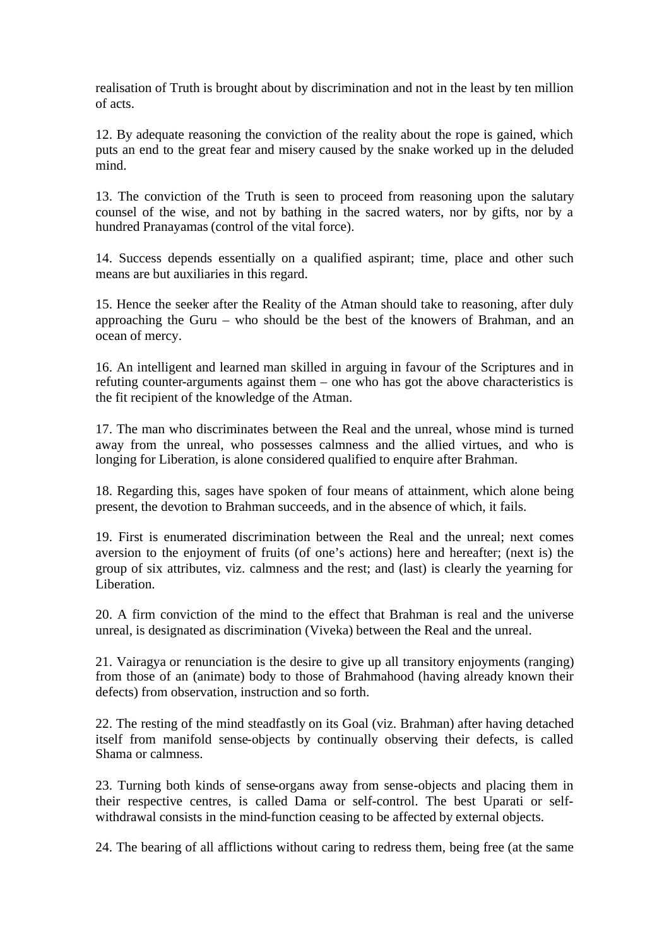realisation of Truth is brought about by discrimination and not in the least by ten million of acts.

12. By adequate reasoning the conviction of the reality about the rope is gained, which puts an end to the great fear and misery caused by the snake worked up in the deluded mind.

13. The conviction of the Truth is seen to proceed from reasoning upon the salutary counsel of the wise, and not by bathing in the sacred waters, nor by gifts, nor by a hundred Pranayamas (control of the vital force).

14. Success depends essentially on a qualified aspirant; time, place and other such means are but auxiliaries in this regard.

15. Hence the seeker after the Reality of the Atman should take to reasoning, after duly approaching the Guru – who should be the best of the knowers of Brahman, and an ocean of mercy.

16. An intelligent and learned man skilled in arguing in favour of the Scriptures and in refuting counter-arguments against them – one who has got the above characteristics is the fit recipient of the knowledge of the Atman.

17. The man who discriminates between the Real and the unreal, whose mind is turned away from the unreal, who possesses calmness and the allied virtues, and who is longing for Liberation, is alone considered qualified to enquire after Brahman.

18. Regarding this, sages have spoken of four means of attainment, which alone being present, the devotion to Brahman succeeds, and in the absence of which, it fails.

19. First is enumerated discrimination between the Real and the unreal; next comes aversion to the enjoyment of fruits (of one's actions) here and hereafter; (next is) the group of six attributes, viz. calmness and the rest; and (last) is clearly the yearning for Liberation.

20. A firm conviction of the mind to the effect that Brahman is real and the universe unreal, is designated as discrimination (Viveka) between the Real and the unreal.

21. Vairagya or renunciation is the desire to give up all transitory enjoyments (ranging) from those of an (animate) body to those of Brahmahood (having already known their defects) from observation, instruction and so forth.

22. The resting of the mind steadfastly on its Goal (viz. Brahman) after having detached itself from manifold sense-objects by continually observing their defects, is called Shama or calmness.

23. Turning both kinds of sense-organs away from sense-objects and placing them in their respective centres, is called Dama or self-control. The best Uparati or selfwithdrawal consists in the mind-function ceasing to be affected by external objects.

24. The bearing of all afflictions without caring to redress them, being free (at the same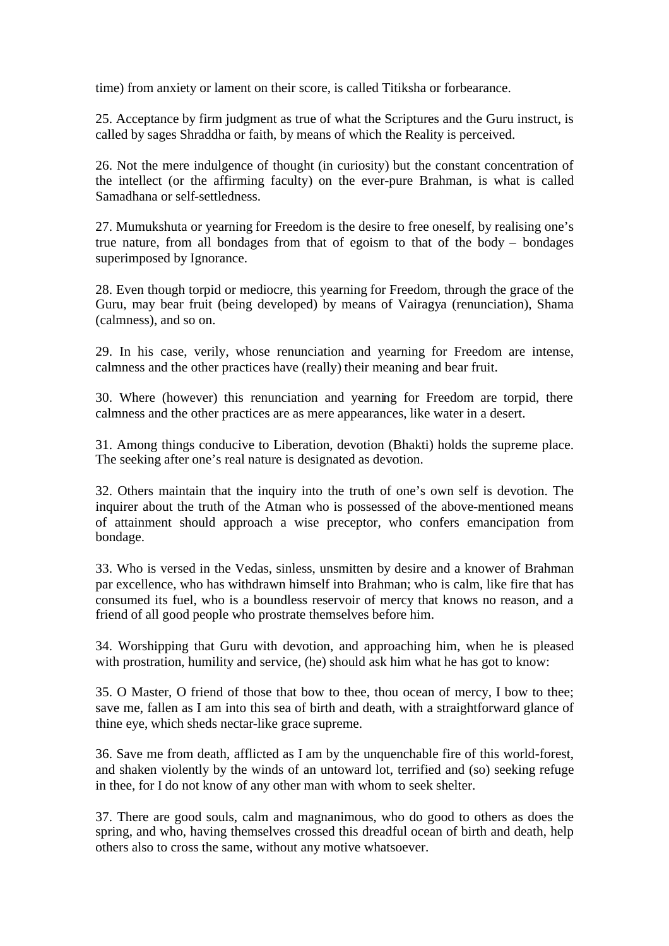time) from anxiety or lament on their score, is called Titiksha or forbearance.

25. Acceptance by firm judgment as true of what the Scriptures and the Guru instruct, is called by sages Shraddha or faith, by means of which the Reality is perceived.

26. Not the mere indulgence of thought (in curiosity) but the constant concentration of the intellect (or the affirming faculty) on the ever-pure Brahman, is what is called Samadhana or self-settledness.

27. Mumukshuta or yearning for Freedom is the desire to free oneself, by realising one's true nature, from all bondages from that of egoism to that of the body – bondages superimposed by Ignorance.

28. Even though torpid or mediocre, this yearning for Freedom, through the grace of the Guru, may bear fruit (being developed) by means of Vairagya (renunciation), Shama (calmness), and so on.

29. In his case, verily, whose renunciation and yearning for Freedom are intense, calmness and the other practices have (really) their meaning and bear fruit.

30. Where (however) this renunciation and yearning for Freedom are torpid, there calmness and the other practices are as mere appearances, like water in a desert.

31. Among things conducive to Liberation, devotion (Bhakti) holds the supreme place. The seeking after one's real nature is designated as devotion.

32. Others maintain that the inquiry into the truth of one's own self is devotion. The inquirer about the truth of the Atman who is possessed of the above-mentioned means of attainment should approach a wise preceptor, who confers emancipation from bondage.

33. Who is versed in the Vedas, sinless, unsmitten by desire and a knower of Brahman par excellence, who has withdrawn himself into Brahman; who is calm, like fire that has consumed its fuel, who is a boundless reservoir of mercy that knows no reason, and a friend of all good people who prostrate themselves before him.

34. Worshipping that Guru with devotion, and approaching him, when he is pleased with prostration, humility and service, (he) should ask him what he has got to know:

35. O Master, O friend of those that bow to thee, thou ocean of mercy, I bow to thee; save me, fallen as I am into this sea of birth and death, with a straightforward glance of thine eye, which sheds nectar-like grace supreme.

36. Save me from death, afflicted as I am by the unquenchable fire of this world-forest, and shaken violently by the winds of an untoward lot, terrified and (so) seeking refuge in thee, for I do not know of any other man with whom to seek shelter.

37. There are good souls, calm and magnanimous, who do good to others as does the spring, and who, having themselves crossed this dreadful ocean of birth and death, help others also to cross the same, without any motive whatsoever.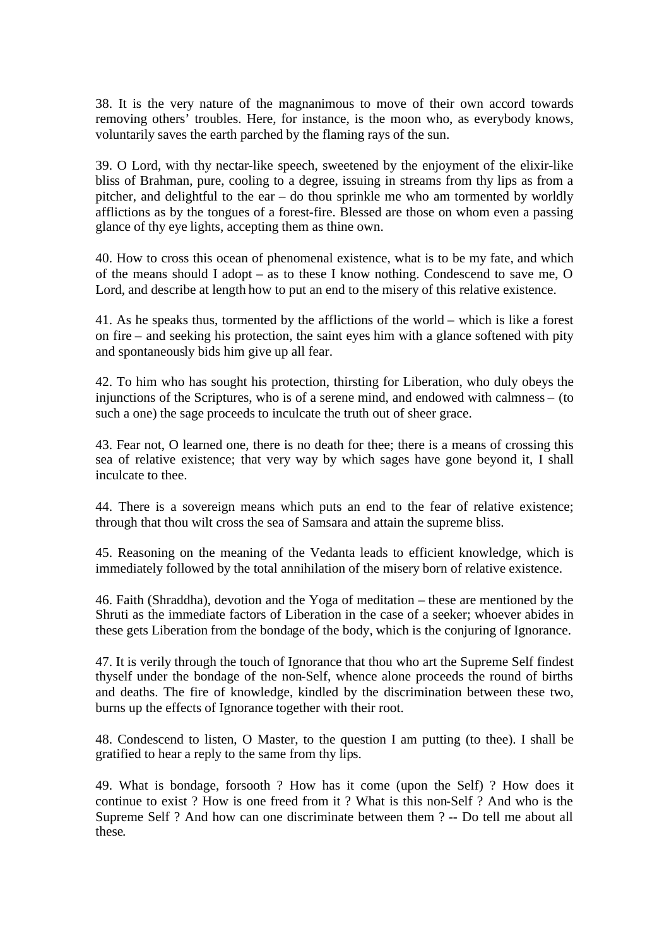38. It is the very nature of the magnanimous to move of their own accord towards removing others' troubles. Here, for instance, is the moon who, as everybody knows, voluntarily saves the earth parched by the flaming rays of the sun.

39. O Lord, with thy nectar-like speech, sweetened by the enjoyment of the elixir-like bliss of Brahman, pure, cooling to a degree, issuing in streams from thy lips as from a pitcher, and delightful to the ear – do thou sprinkle me who am tormented by worldly afflictions as by the tongues of a forest-fire. Blessed are those on whom even a passing glance of thy eye lights, accepting them as thine own.

40. How to cross this ocean of phenomenal existence, what is to be my fate, and which of the means should I adopt – as to these I know nothing. Condescend to save me, O Lord, and describe at length how to put an end to the misery of this relative existence.

41. As he speaks thus, tormented by the afflictions of the world – which is like a forest on fire – and seeking his protection, the saint eyes him with a glance softened with pity and spontaneously bids him give up all fear.

42. To him who has sought his protection, thirsting for Liberation, who duly obeys the injunctions of the Scriptures, who is of a serene mind, and endowed with calmness – (to such a one) the sage proceeds to inculcate the truth out of sheer grace.

43. Fear not, O learned one, there is no death for thee; there is a means of crossing this sea of relative existence; that very way by which sages have gone beyond it, I shall inculcate to thee.

44. There is a sovereign means which puts an end to the fear of relative existence; through that thou wilt cross the sea of Samsara and attain the supreme bliss.

45. Reasoning on the meaning of the Vedanta leads to efficient knowledge, which is immediately followed by the total annihilation of the misery born of relative existence.

46. Faith (Shraddha), devotion and the Yoga of meditation – these are mentioned by the Shruti as the immediate factors of Liberation in the case of a seeker; whoever abides in these gets Liberation from the bondage of the body, which is the conjuring of Ignorance.

47. It is verily through the touch of Ignorance that thou who art the Supreme Self findest thyself under the bondage of the non-Self, whence alone proceeds the round of births and deaths. The fire of knowledge, kindled by the discrimination between these two, burns up the effects of Ignorance together with their root.

48. Condescend to listen, O Master, to the question I am putting (to thee). I shall be gratified to hear a reply to the same from thy lips.

49. What is bondage, forsooth ? How has it come (upon the Self) ? How does it continue to exist ? How is one freed from it ? What is this non-Self ? And who is the Supreme Self ? And how can one discriminate between them ? -- Do tell me about all these.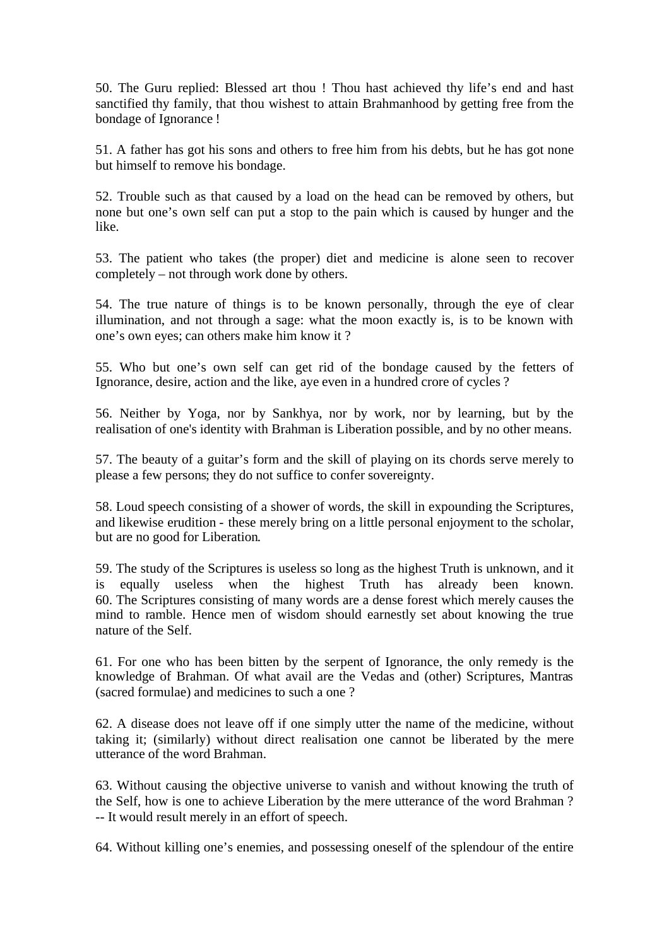50. The Guru replied: Blessed art thou ! Thou hast achieved thy life's end and hast sanctified thy family, that thou wishest to attain Brahmanhood by getting free from the bondage of Ignorance !

51. A father has got his sons and others to free him from his debts, but he has got none but himself to remove his bondage.

52. Trouble such as that caused by a load on the head can be removed by others, but none but one's own self can put a stop to the pain which is caused by hunger and the like.

53. The patient who takes (the proper) diet and medicine is alone seen to recover completely – not through work done by others.

54. The true nature of things is to be known personally, through the eye of clear illumination, and not through a sage: what the moon exactly is, is to be known with one's own eyes; can others make him know it ?

55. Who but one's own self can get rid of the bondage caused by the fetters of Ignorance, desire, action and the like, aye even in a hundred crore of cycles ?

56. Neither by Yoga, nor by Sankhya, nor by work, nor by learning, but by the realisation of one's identity with Brahman is Liberation possible, and by no other means.

57. The beauty of a guitar's form and the skill of playing on its chords serve merely to please a few persons; they do not suffice to confer sovereignty.

58. Loud speech consisting of a shower of words, the skill in expounding the Scriptures, and likewise erudition - these merely bring on a little personal enjoyment to the scholar, but are no good for Liberation.

59. The study of the Scriptures is useless so long as the highest Truth is unknown, and it is equally useless when the highest Truth has already been known. 60. The Scriptures consisting of many words are a dense forest which merely causes the mind to ramble. Hence men of wisdom should earnestly set about knowing the true nature of the Self.

61. For one who has been bitten by the serpent of Ignorance, the only remedy is the knowledge of Brahman. Of what avail are the Vedas and (other) Scriptures, Mantras (sacred formulae) and medicines to such a one ?

62. A disease does not leave off if one simply utter the name of the medicine, without taking it; (similarly) without direct realisation one cannot be liberated by the mere utterance of the word Brahman.

63. Without causing the objective universe to vanish and without knowing the truth of the Self, how is one to achieve Liberation by the mere utterance of the word Brahman ? -- It would result merely in an effort of speech.

64. Without killing one's enemies, and possessing oneself of the splendour of the entire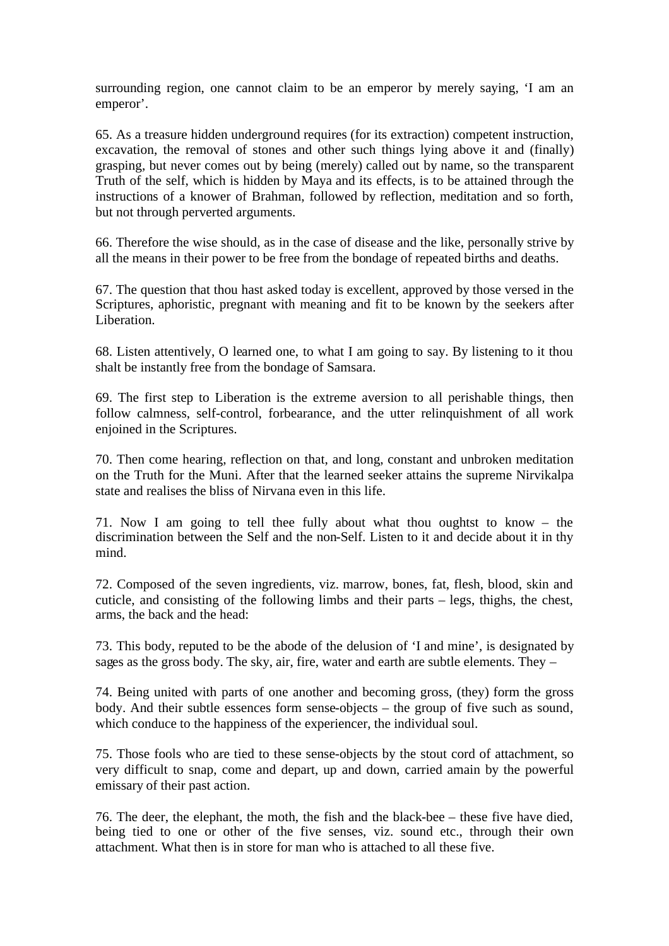surrounding region, one cannot claim to be an emperor by merely saying, 'I am an emperor'.

65. As a treasure hidden underground requires (for its extraction) competent instruction, excavation, the removal of stones and other such things lying above it and (finally) grasping, but never comes out by being (merely) called out by name, so the transparent Truth of the self, which is hidden by Maya and its effects, is to be attained through the instructions of a knower of Brahman, followed by reflection, meditation and so forth, but not through perverted arguments.

66. Therefore the wise should, as in the case of disease and the like, personally strive by all the means in their power to be free from the bondage of repeated births and deaths.

67. The question that thou hast asked today is excellent, approved by those versed in the Scriptures, aphoristic, pregnant with meaning and fit to be known by the seekers after Liberation.

68. Listen attentively, O learned one, to what I am going to say. By listening to it thou shalt be instantly free from the bondage of Samsara.

69. The first step to Liberation is the extreme aversion to all perishable things, then follow calmness, self-control, forbearance, and the utter relinquishment of all work enjoined in the Scriptures.

70. Then come hearing, reflection on that, and long, constant and unbroken meditation on the Truth for the Muni. After that the learned seeker attains the supreme Nirvikalpa state and realises the bliss of Nirvana even in this life.

71. Now I am going to tell thee fully about what thou oughtst to know – the discrimination between the Self and the non-Self. Listen to it and decide about it in thy mind.

72. Composed of the seven ingredients, viz. marrow, bones, fat, flesh, blood, skin and cuticle, and consisting of the following limbs and their parts – legs, thighs, the chest, arms, the back and the head:

73. This body, reputed to be the abode of the delusion of 'I and mine', is designated by sages as the gross body. The sky, air, fire, water and earth are subtle elements. They –

74. Being united with parts of one another and becoming gross, (they) form the gross body. And their subtle essences form sense-objects – the group of five such as sound, which conduce to the happiness of the experiencer, the individual soul.

75. Those fools who are tied to these sense-objects by the stout cord of attachment, so very difficult to snap, come and depart, up and down, carried amain by the powerful emissary of their past action.

76. The deer, the elephant, the moth, the fish and the black-bee – these five have died, being tied to one or other of the five senses, viz. sound etc., through their own attachment. What then is in store for man who is attached to all these five.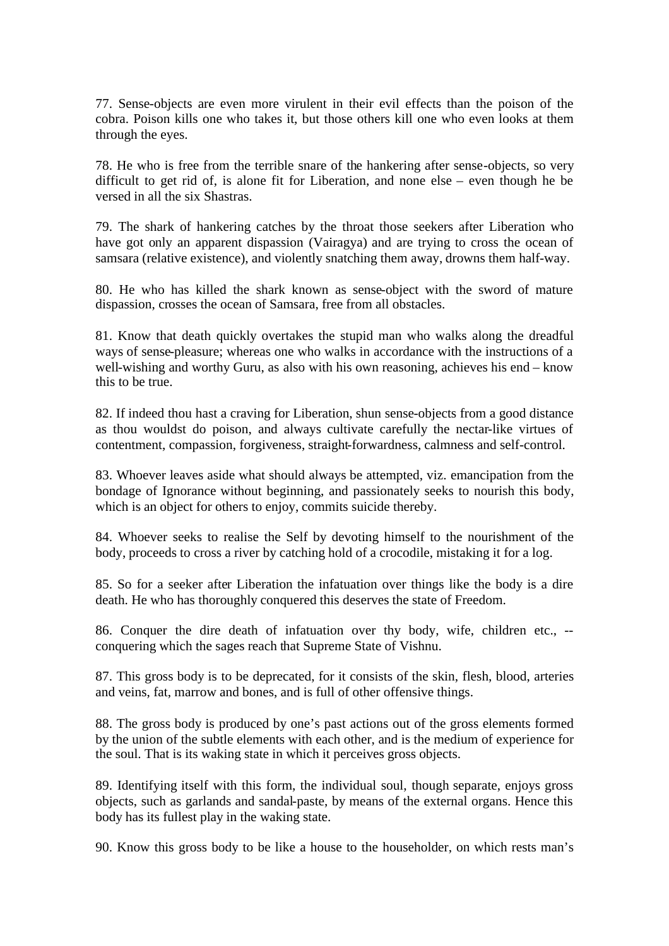77. Sense-objects are even more virulent in their evil effects than the poison of the cobra. Poison kills one who takes it, but those others kill one who even looks at them through the eyes.

78. He who is free from the terrible snare of the hankering after sense-objects, so very difficult to get rid of, is alone fit for Liberation, and none else – even though he be versed in all the six Shastras.

79. The shark of hankering catches by the throat those seekers after Liberation who have got only an apparent dispassion (Vairagya) and are trying to cross the ocean of samsara (relative existence), and violently snatching them away, drowns them half-way.

80. He who has killed the shark known as sense-object with the sword of mature dispassion, crosses the ocean of Samsara, free from all obstacles.

81. Know that death quickly overtakes the stupid man who walks along the dreadful ways of sense-pleasure; whereas one who walks in accordance with the instructions of a well-wishing and worthy Guru, as also with his own reasoning, achieves his end – know this to be true.

82. If indeed thou hast a craving for Liberation, shun sense-objects from a good distance as thou wouldst do poison, and always cultivate carefully the nectar-like virtues of contentment, compassion, forgiveness, straight-forwardness, calmness and self-control.

83. Whoever leaves aside what should always be attempted, viz. emancipation from the bondage of Ignorance without beginning, and passionately seeks to nourish this body, which is an object for others to enjoy, commits suicide thereby.

84. Whoever seeks to realise the Self by devoting himself to the nourishment of the body, proceeds to cross a river by catching hold of a crocodile, mistaking it for a log.

85. So for a seeker after Liberation the infatuation over things like the body is a dire death. He who has thoroughly conquered this deserves the state of Freedom.

86. Conquer the dire death of infatuation over thy body, wife, children etc., - conquering which the sages reach that Supreme State of Vishnu.

87. This gross body is to be deprecated, for it consists of the skin, flesh, blood, arteries and veins, fat, marrow and bones, and is full of other offensive things.

88. The gross body is produced by one's past actions out of the gross elements formed by the union of the subtle elements with each other, and is the medium of experience for the soul. That is its waking state in which it perceives gross objects.

89. Identifying itself with this form, the individual soul, though separate, enjoys gross objects, such as garlands and sandal-paste, by means of the external organs. Hence this body has its fullest play in the waking state.

90. Know this gross body to be like a house to the householder, on which rests man's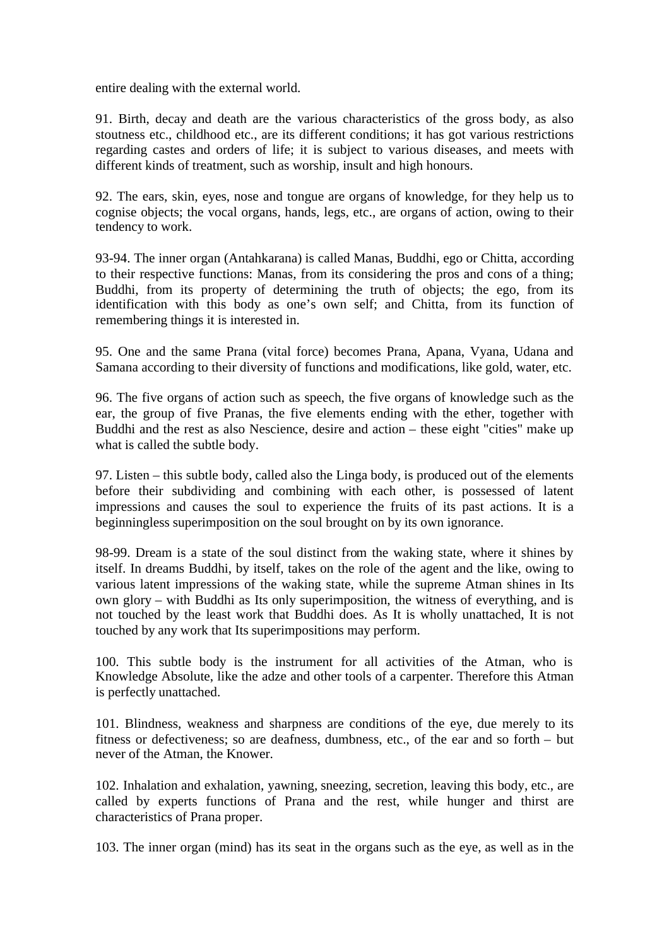entire dealing with the external world.

91. Birth, decay and death are the various characteristics of the gross body, as also stoutness etc., childhood etc., are its different conditions; it has got various restrictions regarding castes and orders of life; it is subject to various diseases, and meets with different kinds of treatment, such as worship, insult and high honours.

92. The ears, skin, eyes, nose and tongue are organs of knowledge, for they help us to cognise objects; the vocal organs, hands, legs, etc., are organs of action, owing to their tendency to work.

93-94. The inner organ (Antahkarana) is called Manas, Buddhi, ego or Chitta, according to their respective functions: Manas, from its considering the pros and cons of a thing; Buddhi, from its property of determining the truth of objects; the ego, from its identification with this body as one's own self; and Chitta, from its function of remembering things it is interested in.

95. One and the same Prana (vital force) becomes Prana, Apana, Vyana, Udana and Samana according to their diversity of functions and modifications, like gold, water, etc.

96. The five organs of action such as speech, the five organs of knowledge such as the ear, the group of five Pranas, the five elements ending with the ether, together with Buddhi and the rest as also Nescience, desire and action – these eight "cities" make up what is called the subtle body.

97. Listen – this subtle body, called also the Linga body, is produced out of the elements before their subdividing and combining with each other, is possessed of latent impressions and causes the soul to experience the fruits of its past actions. It is a beginningless superimposition on the soul brought on by its own ignorance.

98-99. Dream is a state of the soul distinct from the waking state, where it shines by itself. In dreams Buddhi, by itself, takes on the role of the agent and the like, owing to various latent impressions of the waking state, while the supreme Atman shines in Its own glory – with Buddhi as Its only superimposition, the witness of everything, and is not touched by the least work that Buddhi does. As It is wholly unattached, It is not touched by any work that Its superimpositions may perform.

100. This subtle body is the instrument for all activities of the Atman, who is Knowledge Absolute, like the adze and other tools of a carpenter. Therefore this Atman is perfectly unattached.

101. Blindness, weakness and sharpness are conditions of the eye, due merely to its fitness or defectiveness; so are deafness, dumbness, etc., of the ear and so forth – but never of the Atman, the Knower.

102. Inhalation and exhalation, yawning, sneezing, secretion, leaving this body, etc., are called by experts functions of Prana and the rest, while hunger and thirst are characteristics of Prana proper.

103. The inner organ (mind) has its seat in the organs such as the eye, as well as in the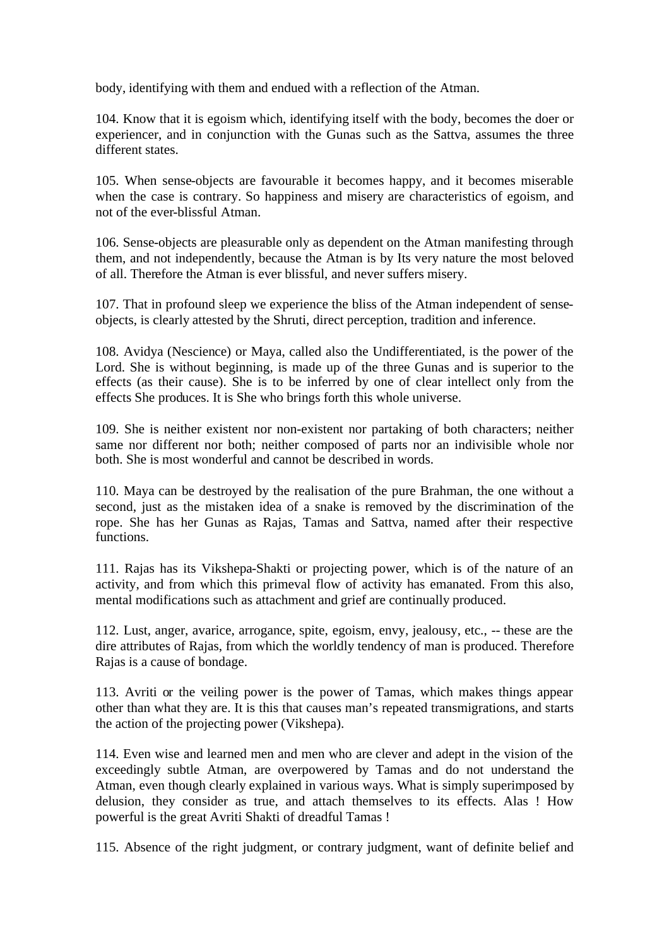body, identifying with them and endued with a reflection of the Atman.

104. Know that it is egoism which, identifying itself with the body, becomes the doer or experiencer, and in conjunction with the Gunas such as the Sattva, assumes the three different states.

105. When sense-objects are favourable it becomes happy, and it becomes miserable when the case is contrary. So happiness and misery are characteristics of egoism, and not of the ever-blissful Atman.

106. Sense-objects are pleasurable only as dependent on the Atman manifesting through them, and not independently, because the Atman is by Its very nature the most beloved of all. Therefore the Atman is ever blissful, and never suffers misery.

107. That in profound sleep we experience the bliss of the Atman independent of senseobjects, is clearly attested by the Shruti, direct perception, tradition and inference.

108. Avidya (Nescience) or Maya, called also the Undifferentiated, is the power of the Lord. She is without beginning, is made up of the three Gunas and is superior to the effects (as their cause). She is to be inferred by one of clear intellect only from the effects She produces. It is She who brings forth this whole universe.

109. She is neither existent nor non-existent nor partaking of both characters; neither same nor different nor both; neither composed of parts nor an indivisible whole nor both. She is most wonderful and cannot be described in words.

110. Maya can be destroyed by the realisation of the pure Brahman, the one without a second, just as the mistaken idea of a snake is removed by the discrimination of the rope. She has her Gunas as Rajas, Tamas and Sattva, named after their respective functions.

111. Rajas has its Vikshepa-Shakti or projecting power, which is of the nature of an activity, and from which this primeval flow of activity has emanated. From this also, mental modifications such as attachment and grief are continually produced.

112. Lust, anger, avarice, arrogance, spite, egoism, envy, jealousy, etc., -- these are the dire attributes of Rajas, from which the worldly tendency of man is produced. Therefore Rajas is a cause of bondage.

113. Avriti or the veiling power is the power of Tamas, which makes things appear other than what they are. It is this that causes man's repeated transmigrations, and starts the action of the projecting power (Vikshepa).

114. Even wise and learned men and men who are clever and adept in the vision of the exceedingly subtle Atman, are overpowered by Tamas and do not understand the Atman, even though clearly explained in various ways. What is simply superimposed by delusion, they consider as true, and attach themselves to its effects. Alas ! How powerful is the great Avriti Shakti of dreadful Tamas !

115. Absence of the right judgment, or contrary judgment, want of definite belief and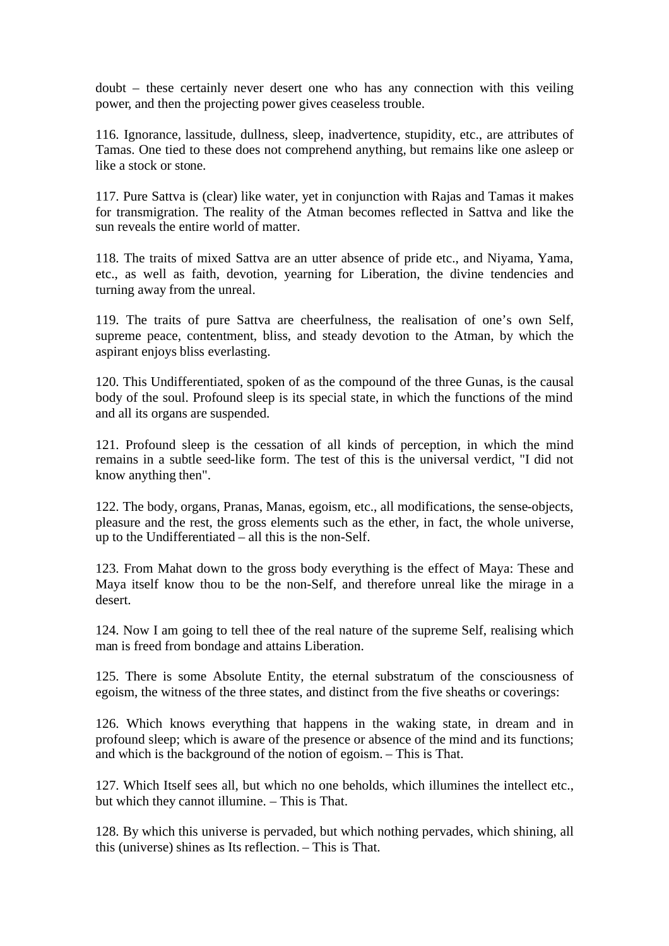doubt – these certainly never desert one who has any connection with this veiling power, and then the projecting power gives ceaseless trouble.

116. Ignorance, lassitude, dullness, sleep, inadvertence, stupidity, etc., are attributes of Tamas. One tied to these does not comprehend anything, but remains like one asleep or like a stock or stone.

117. Pure Sattva is (clear) like water, yet in conjunction with Rajas and Tamas it makes for transmigration. The reality of the Atman becomes reflected in Sattva and like the sun reveals the entire world of matter.

118. The traits of mixed Sattva are an utter absence of pride etc., and Niyama, Yama, etc., as well as faith, devotion, yearning for Liberation, the divine tendencies and turning away from the unreal.

119. The traits of pure Sattva are cheerfulness, the realisation of one's own Self, supreme peace, contentment, bliss, and steady devotion to the Atman, by which the aspirant enjoys bliss everlasting.

120. This Undifferentiated, spoken of as the compound of the three Gunas, is the causal body of the soul. Profound sleep is its special state, in which the functions of the mind and all its organs are suspended.

121. Profound sleep is the cessation of all kinds of perception, in which the mind remains in a subtle seed-like form. The test of this is the universal verdict, "I did not know anything then".

122. The body, organs, Pranas, Manas, egoism, etc., all modifications, the sense-objects, pleasure and the rest, the gross elements such as the ether, in fact, the whole universe, up to the Undifferentiated – all this is the non-Self.

123. From Mahat down to the gross body everything is the effect of Maya: These and Maya itself know thou to be the non-Self, and therefore unreal like the mirage in a desert.

124. Now I am going to tell thee of the real nature of the supreme Self, realising which man is freed from bondage and attains Liberation.

125. There is some Absolute Entity, the eternal substratum of the consciousness of egoism, the witness of the three states, and distinct from the five sheaths or coverings:

126. Which knows everything that happens in the waking state, in dream and in profound sleep; which is aware of the presence or absence of the mind and its functions; and which is the background of the notion of egoism. – This is That.

127. Which Itself sees all, but which no one beholds, which illumines the intellect etc., but which they cannot illumine. – This is That.

128. By which this universe is pervaded, but which nothing pervades, which shining, all this (universe) shines as Its reflection. – This is That.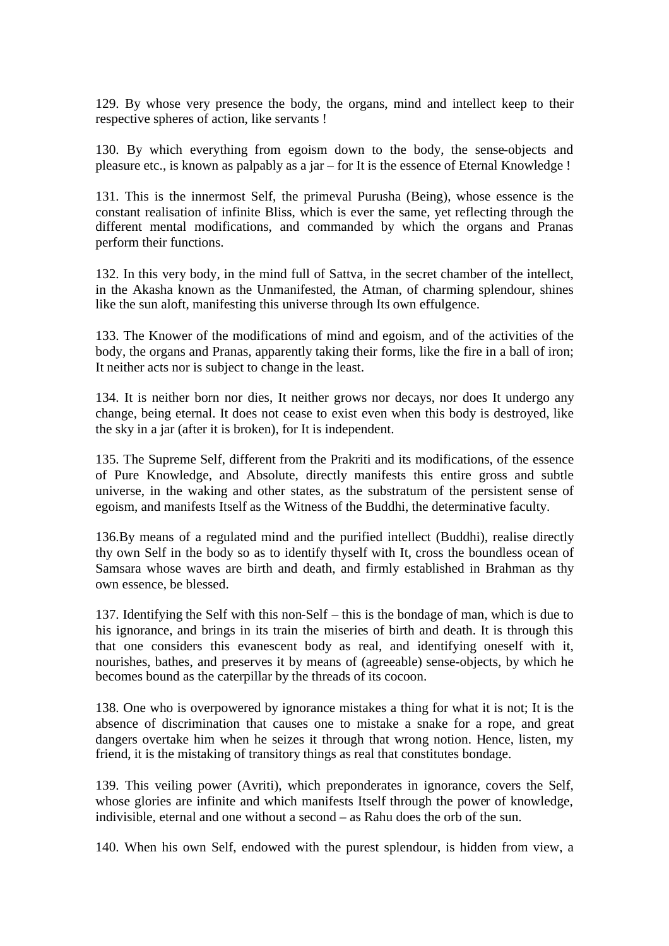129. By whose very presence the body, the organs, mind and intellect keep to their respective spheres of action, like servants !

130. By which everything from egoism down to the body, the sense-objects and pleasure etc., is known as palpably as a jar – for It is the essence of Eternal Knowledge !

131. This is the innermost Self, the primeval Purusha (Being), whose essence is the constant realisation of infinite Bliss, which is ever the same, yet reflecting through the different mental modifications, and commanded by which the organs and Pranas perform their functions.

132. In this very body, in the mind full of Sattva, in the secret chamber of the intellect, in the Akasha known as the Unmanifested, the Atman, of charming splendour, shines like the sun aloft, manifesting this universe through Its own effulgence.

133. The Knower of the modifications of mind and egoism, and of the activities of the body, the organs and Pranas, apparently taking their forms, like the fire in a ball of iron; It neither acts nor is subject to change in the least.

134. It is neither born nor dies, It neither grows nor decays, nor does It undergo any change, being eternal. It does not cease to exist even when this body is destroyed, like the sky in a jar (after it is broken), for It is independent.

135. The Supreme Self, different from the Prakriti and its modifications, of the essence of Pure Knowledge, and Absolute, directly manifests this entire gross and subtle universe, in the waking and other states, as the substratum of the persistent sense of egoism, and manifests Itself as the Witness of the Buddhi, the determinative faculty.

136.By means of a regulated mind and the purified intellect (Buddhi), realise directly thy own Self in the body so as to identify thyself with It, cross the boundless ocean of Samsara whose waves are birth and death, and firmly established in Brahman as thy own essence, be blessed.

137. Identifying the Self with this non-Self – this is the bondage of man, which is due to his ignorance, and brings in its train the miseries of birth and death. It is through this that one considers this evanescent body as real, and identifying oneself with it, nourishes, bathes, and preserves it by means of (agreeable) sense-objects, by which he becomes bound as the caterpillar by the threads of its cocoon.

138. One who is overpowered by ignorance mistakes a thing for what it is not; It is the absence of discrimination that causes one to mistake a snake for a rope, and great dangers overtake him when he seizes it through that wrong notion. Hence, listen, my friend, it is the mistaking of transitory things as real that constitutes bondage.

139. This veiling power (Avriti), which preponderates in ignorance, covers the Self, whose glories are infinite and which manifests Itself through the power of knowledge, indivisible, eternal and one without a second – as Rahu does the orb of the sun.

140. When his own Self, endowed with the purest splendour, is hidden from view, a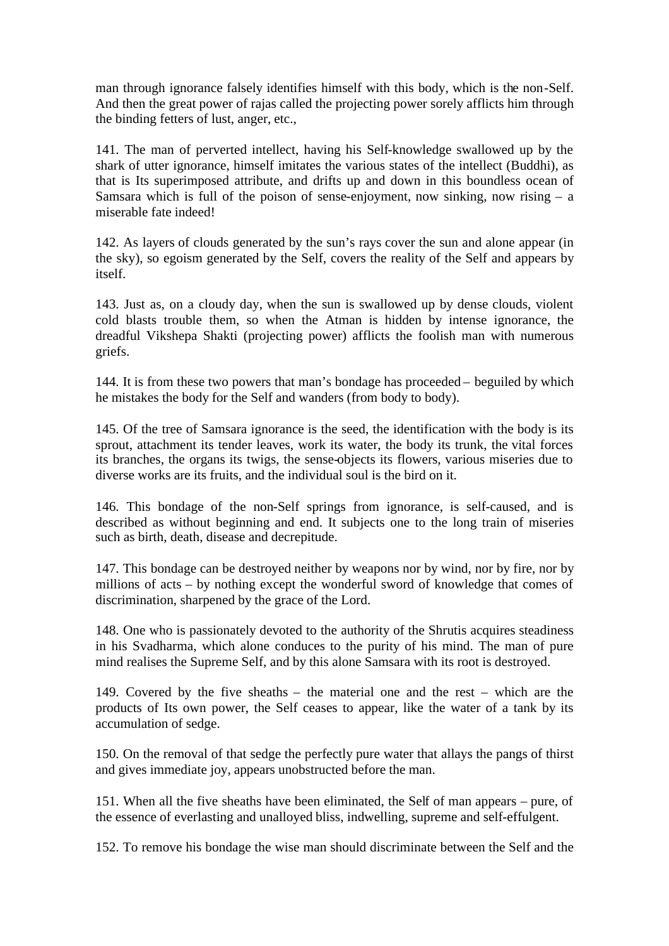man through ignorance falsely identifies himself with this body, which is the non-Self. And then the great power of rajas called the projecting power sorely afflicts him through the binding fetters of lust, anger, etc.,

141. The man of perverted intellect, having his Self-knowledge swallowed up by the shark of utter ignorance, himself imitates the various states of the intellect (Buddhi), as that is Its superimposed attribute, and drifts up and down in this boundless ocean of Samsara which is full of the poison of sense-enjoyment, now sinking, now rising  $-$  a miserable fate indeed!

142. As layers of clouds generated by the sun's rays cover the sun and alone appear (in the sky), so egoism generated by the Self, covers the reality of the Self and appears by itself.

143. Just as, on a cloudy day, when the sun is swallowed up by dense clouds, violent cold blasts trouble them, so when the Atman is hidden by intense ignorance, the dreadful Vikshepa Shakti (projecting power) afflicts the foolish man with numerous griefs.

144. It is from these two powers that man's bondage has proceeded – beguiled by which he mistakes the body for the Self and wanders (from body to body).

145. Of the tree of Samsara ignorance is the seed, the identification with the body is its sprout, attachment its tender leaves, work its water, the body its trunk, the vital forces its branches, the organs its twigs, the sense-objects its flowers, various miseries due to diverse works are its fruits, and the individual soul is the bird on it.

146. This bondage of the non-Self springs from ignorance, is self-caused, and is described as without beginning and end. It subjects one to the long train of miseries such as birth, death, disease and decrepitude.

147. This bondage can be destroyed neither by weapons nor by wind, nor by fire, nor by millions of acts – by nothing except the wonderful sword of knowledge that comes of discrimination, sharpened by the grace of the Lord.

148. One who is passionately devoted to the authority of the Shrutis acquires steadiness in his Svadharma, which alone conduces to the purity of his mind. The man of pure mind realises the Supreme Self, and by this alone Samsara with its root is destroyed.

149. Covered by the five sheaths – the material one and the rest – which are the products of Its own power, the Self ceases to appear, like the water of a tank by its accumulation of sedge.

150. On the removal of that sedge the perfectly pure water that allays the pangs of thirst and gives immediate joy, appears unobstructed before the man.

151. When all the five sheaths have been eliminated, the Self of man appears – pure, of the essence of everlasting and unalloyed bliss, indwelling, supreme and self-effulgent.

152. To remove his bondage the wise man should discriminate between the Self and the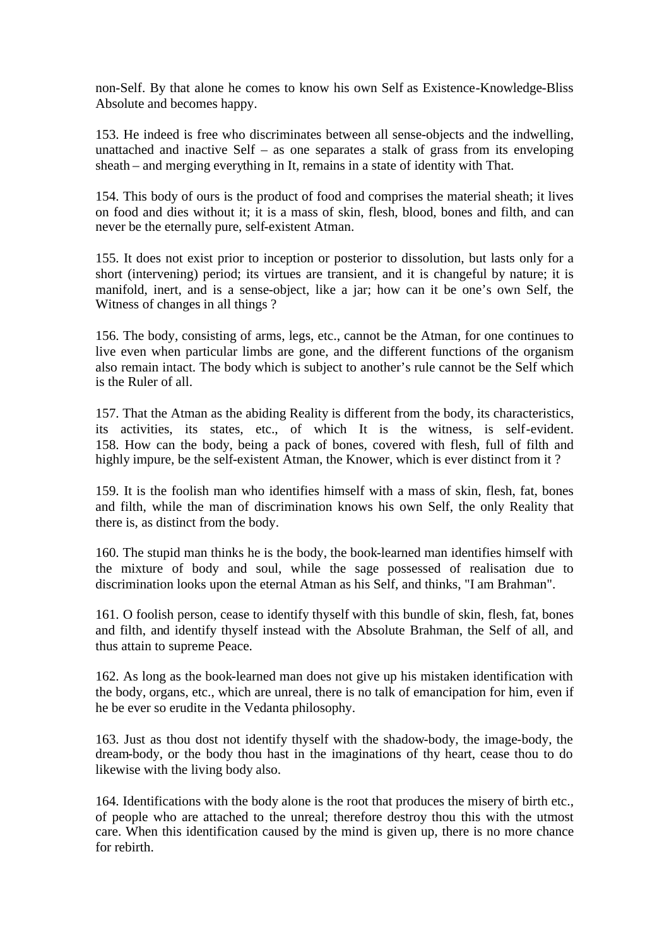non-Self. By that alone he comes to know his own Self as Existence-Knowledge-Bliss Absolute and becomes happy.

153. He indeed is free who discriminates between all sense-objects and the indwelling, unattached and inactive Self – as one separates a stalk of grass from its enveloping sheath – and merging everything in It, remains in a state of identity with That.

154. This body of ours is the product of food and comprises the material sheath; it lives on food and dies without it; it is a mass of skin, flesh, blood, bones and filth, and can never be the eternally pure, self-existent Atman.

155. It does not exist prior to inception or posterior to dissolution, but lasts only for a short (intervening) period; its virtues are transient, and it is changeful by nature; it is manifold, inert, and is a sense-object, like a jar; how can it be one's own Self, the Witness of changes in all things ?

156. The body, consisting of arms, legs, etc., cannot be the Atman, for one continues to live even when particular limbs are gone, and the different functions of the organism also remain intact. The body which is subject to another's rule cannot be the Self which is the Ruler of all.

157. That the Atman as the abiding Reality is different from the body, its characteristics, its activities, its states, etc., of which It is the witness, is self-evident. 158. How can the body, being a pack of bones, covered with flesh, full of filth and highly impure, be the self-existent Atman, the Knower, which is ever distinct from it ?

159. It is the foolish man who identifies himself with a mass of skin, flesh, fat, bones and filth, while the man of discrimination knows his own Self, the only Reality that there is, as distinct from the body.

160. The stupid man thinks he is the body, the book-learned man identifies himself with the mixture of body and soul, while the sage possessed of realisation due to discrimination looks upon the eternal Atman as his Self, and thinks, "I am Brahman".

161. O foolish person, cease to identify thyself with this bundle of skin, flesh, fat, bones and filth, and identify thyself instead with the Absolute Brahman, the Self of all, and thus attain to supreme Peace.

162. As long as the book-learned man does not give up his mistaken identification with the body, organs, etc., which are unreal, there is no talk of emancipation for him, even if he be ever so erudite in the Vedanta philosophy.

163. Just as thou dost not identify thyself with the shadow-body, the image-body, the dream-body, or the body thou hast in the imaginations of thy heart, cease thou to do likewise with the living body also.

164. Identifications with the body alone is the root that produces the misery of birth etc., of people who are attached to the unreal; therefore destroy thou this with the utmost care. When this identification caused by the mind is given up, there is no more chance for rebirth.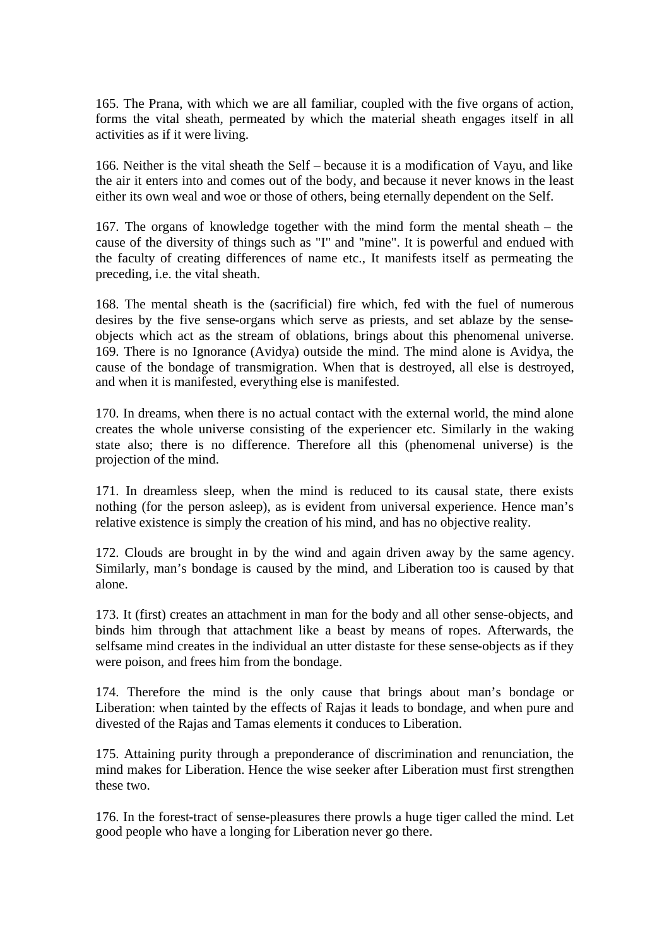165. The Prana, with which we are all familiar, coupled with the five organs of action, forms the vital sheath, permeated by which the material sheath engages itself in all activities as if it were living.

166. Neither is the vital sheath the Self – because it is a modification of Vayu, and like the air it enters into and comes out of the body, and because it never knows in the least either its own weal and woe or those of others, being eternally dependent on the Self.

167. The organs of knowledge together with the mind form the mental sheath – the cause of the diversity of things such as "I" and "mine". It is powerful and endued with the faculty of creating differences of name etc., It manifests itself as permeating the preceding, i.e. the vital sheath.

168. The mental sheath is the (sacrificial) fire which, fed with the fuel of numerous desires by the five sense-organs which serve as priests, and set ablaze by the senseobjects which act as the stream of oblations, brings about this phenomenal universe. 169. There is no Ignorance (Avidya) outside the mind. The mind alone is Avidya, the cause of the bondage of transmigration. When that is destroyed, all else is destroyed, and when it is manifested, everything else is manifested.

170. In dreams, when there is no actual contact with the external world, the mind alone creates the whole universe consisting of the experiencer etc. Similarly in the waking state also; there is no difference. Therefore all this (phenomenal universe) is the projection of the mind.

171. In dreamless sleep, when the mind is reduced to its causal state, there exists nothing (for the person asleep), as is evident from universal experience. Hence man's relative existence is simply the creation of his mind, and has no objective reality.

172. Clouds are brought in by the wind and again driven away by the same agency. Similarly, man's bondage is caused by the mind, and Liberation too is caused by that alone.

173. It (first) creates an attachment in man for the body and all other sense-objects, and binds him through that attachment like a beast by means of ropes. Afterwards, the selfsame mind creates in the individual an utter distaste for these sense-objects as if they were poison, and frees him from the bondage.

174. Therefore the mind is the only cause that brings about man's bondage or Liberation: when tainted by the effects of Rajas it leads to bondage, and when pure and divested of the Rajas and Tamas elements it conduces to Liberation.

175. Attaining purity through a preponderance of discrimination and renunciation, the mind makes for Liberation. Hence the wise seeker after Liberation must first strengthen these two.

176. In the forest-tract of sense-pleasures there prowls a huge tiger called the mind. Let good people who have a longing for Liberation never go there.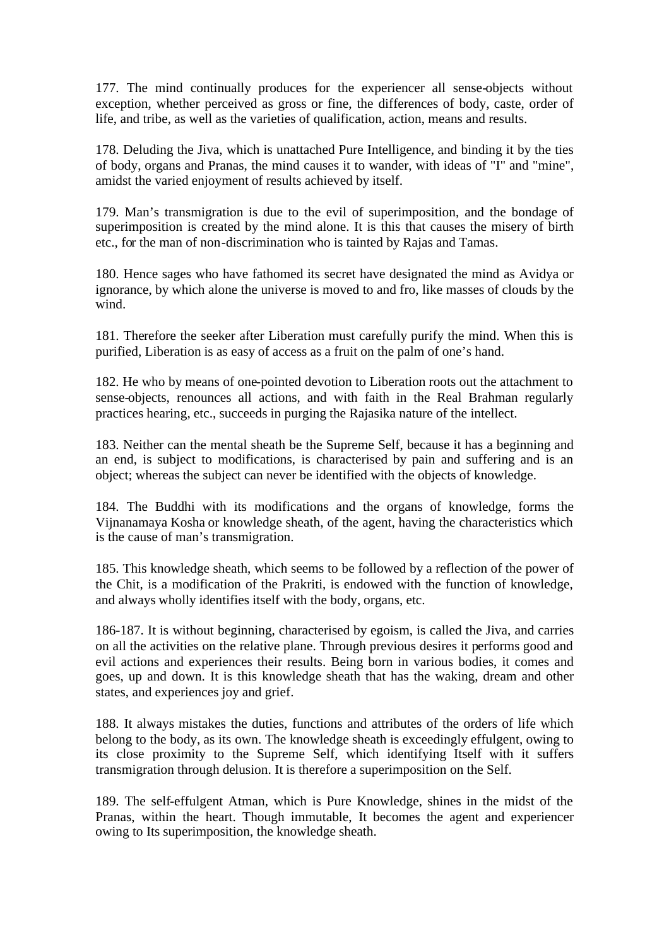177. The mind continually produces for the experiencer all sense-objects without exception, whether perceived as gross or fine, the differences of body, caste, order of life, and tribe, as well as the varieties of qualification, action, means and results.

178. Deluding the Jiva, which is unattached Pure Intelligence, and binding it by the ties of body, organs and Pranas, the mind causes it to wander, with ideas of "I" and "mine", amidst the varied enjoyment of results achieved by itself.

179. Man's transmigration is due to the evil of superimposition, and the bondage of superimposition is created by the mind alone. It is this that causes the misery of birth etc., for the man of non-discrimination who is tainted by Rajas and Tamas.

180. Hence sages who have fathomed its secret have designated the mind as Avidya or ignorance, by which alone the universe is moved to and fro, like masses of clouds by the wind.

181. Therefore the seeker after Liberation must carefully purify the mind. When this is purified, Liberation is as easy of access as a fruit on the palm of one's hand.

182. He who by means of one-pointed devotion to Liberation roots out the attachment to sense-objects, renounces all actions, and with faith in the Real Brahman regularly practices hearing, etc., succeeds in purging the Rajasika nature of the intellect.

183. Neither can the mental sheath be the Supreme Self, because it has a beginning and an end, is subject to modifications, is characterised by pain and suffering and is an object; whereas the subject can never be identified with the objects of knowledge.

184. The Buddhi with its modifications and the organs of knowledge, forms the Vijnanamaya Kosha or knowledge sheath, of the agent, having the characteristics which is the cause of man's transmigration.

185. This knowledge sheath, which seems to be followed by a reflection of the power of the Chit, is a modification of the Prakriti, is endowed with the function of knowledge, and always wholly identifies itself with the body, organs, etc.

186-187. It is without beginning, characterised by egoism, is called the Jiva, and carries on all the activities on the relative plane. Through previous desires it performs good and evil actions and experiences their results. Being born in various bodies, it comes and goes, up and down. It is this knowledge sheath that has the waking, dream and other states, and experiences joy and grief.

188. It always mistakes the duties, functions and attributes of the orders of life which belong to the body, as its own. The knowledge sheath is exceedingly effulgent, owing to its close proximity to the Supreme Self, which identifying Itself with it suffers transmigration through delusion. It is therefore a superimposition on the Self.

189. The self-effulgent Atman, which is Pure Knowledge, shines in the midst of the Pranas, within the heart. Though immutable, It becomes the agent and experiencer owing to Its superimposition, the knowledge sheath.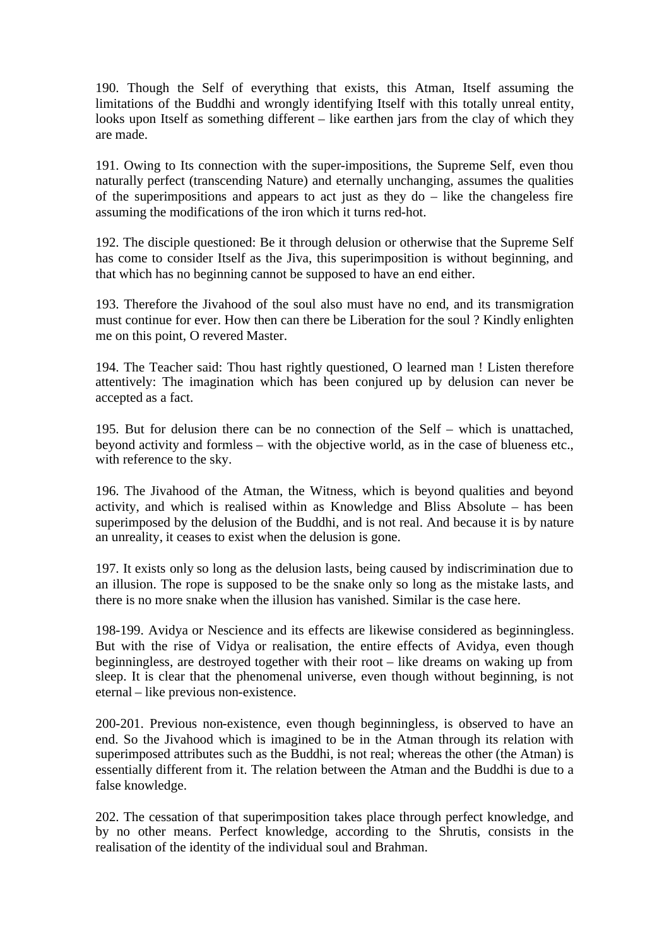190. Though the Self of everything that exists, this Atman, Itself assuming the limitations of the Buddhi and wrongly identifying Itself with this totally unreal entity, looks upon Itself as something different – like earthen jars from the clay of which they are made.

191. Owing to Its connection with the super-impositions, the Supreme Self, even thou naturally perfect (transcending Nature) and eternally unchanging, assumes the qualities of the superimpositions and appears to act just as they do – like the changeless fire assuming the modifications of the iron which it turns red-hot.

192. The disciple questioned: Be it through delusion or otherwise that the Supreme Self has come to consider Itself as the Jiva, this superimposition is without beginning, and that which has no beginning cannot be supposed to have an end either.

193. Therefore the Jivahood of the soul also must have no end, and its transmigration must continue for ever. How then can there be Liberation for the soul ? Kindly enlighten me on this point, O revered Master.

194. The Teacher said: Thou hast rightly questioned, O learned man ! Listen therefore attentively: The imagination which has been conjured up by delusion can never be accepted as a fact.

195. But for delusion there can be no connection of the Self – which is unattached, beyond activity and formless – with the objective world, as in the case of blueness etc., with reference to the sky.

196. The Jivahood of the Atman, the Witness, which is beyond qualities and beyond activity, and which is realised within as Knowledge and Bliss Absolute – has been superimposed by the delusion of the Buddhi, and is not real. And because it is by nature an unreality, it ceases to exist when the delusion is gone.

197. It exists only so long as the delusion lasts, being caused by indiscrimination due to an illusion. The rope is supposed to be the snake only so long as the mistake lasts, and there is no more snake when the illusion has vanished. Similar is the case here.

198-199. Avidya or Nescience and its effects are likewise considered as beginningless. But with the rise of Vidya or realisation, the entire effects of Avidya, even though beginningless, are destroyed together with their root – like dreams on waking up from sleep. It is clear that the phenomenal universe, even though without beginning, is not eternal – like previous non-existence.

200-201. Previous non-existence, even though beginningless, is observed to have an end. So the Jivahood which is imagined to be in the Atman through its relation with superimposed attributes such as the Buddhi, is not real; whereas the other (the Atman) is essentially different from it. The relation between the Atman and the Buddhi is due to a false knowledge.

202. The cessation of that superimposition takes place through perfect knowledge, and by no other means. Perfect knowledge, according to the Shrutis, consists in the realisation of the identity of the individual soul and Brahman.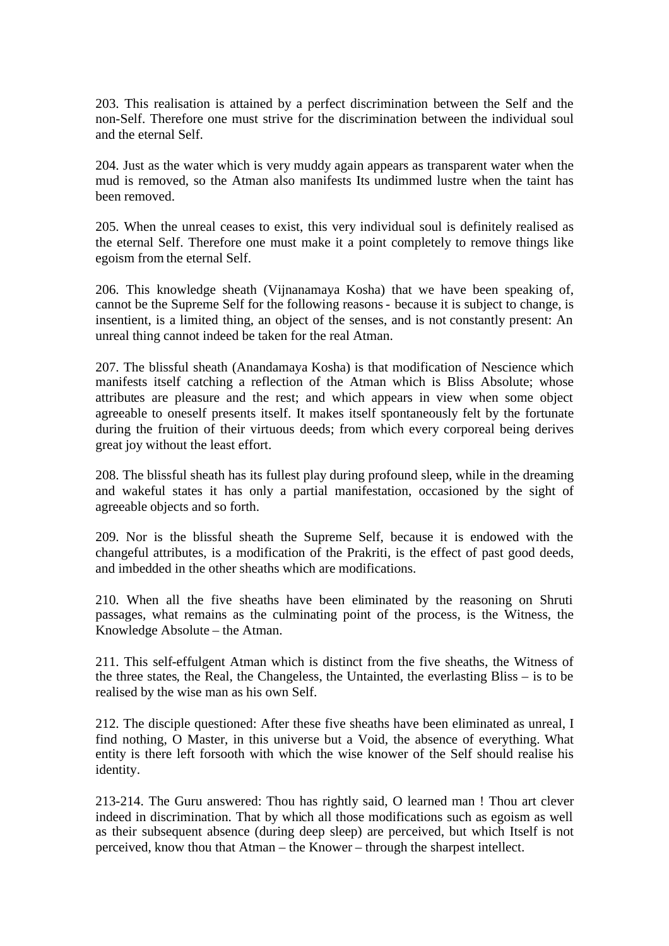203. This realisation is attained by a perfect discrimination between the Self and the non-Self. Therefore one must strive for the discrimination between the individual soul and the eternal Self.

204. Just as the water which is very muddy again appears as transparent water when the mud is removed, so the Atman also manifests Its undimmed lustre when the taint has been removed.

205. When the unreal ceases to exist, this very individual soul is definitely realised as the eternal Self. Therefore one must make it a point completely to remove things like egoism from the eternal Self.

206. This knowledge sheath (Vijnanamaya Kosha) that we have been speaking of, cannot be the Supreme Self for the following reasons- because it is subject to change, is insentient, is a limited thing, an object of the senses, and is not constantly present: An unreal thing cannot indeed be taken for the real Atman.

207. The blissful sheath (Anandamaya Kosha) is that modification of Nescience which manifests itself catching a reflection of the Atman which is Bliss Absolute; whose attributes are pleasure and the rest; and which appears in view when some object agreeable to oneself presents itself. It makes itself spontaneously felt by the fortunate during the fruition of their virtuous deeds; from which every corporeal being derives great joy without the least effort.

208. The blissful sheath has its fullest play during profound sleep, while in the dreaming and wakeful states it has only a partial manifestation, occasioned by the sight of agreeable objects and so forth.

209. Nor is the blissful sheath the Supreme Self, because it is endowed with the changeful attributes, is a modification of the Prakriti, is the effect of past good deeds, and imbedded in the other sheaths which are modifications.

210. When all the five sheaths have been eliminated by the reasoning on Shruti passages, what remains as the culminating point of the process, is the Witness, the Knowledge Absolute – the Atman.

211. This self-effulgent Atman which is distinct from the five sheaths, the Witness of the three states, the Real, the Changeless, the Untainted, the everlasting Bliss – is to be realised by the wise man as his own Self.

212. The disciple questioned: After these five sheaths have been eliminated as unreal, I find nothing, O Master, in this universe but a Void, the absence of everything. What entity is there left forsooth with which the wise knower of the Self should realise his identity.

213-214. The Guru answered: Thou has rightly said, O learned man ! Thou art clever indeed in discrimination. That by which all those modifications such as egoism as well as their subsequent absence (during deep sleep) are perceived, but which Itself is not perceived, know thou that Atman – the Knower – through the sharpest intellect.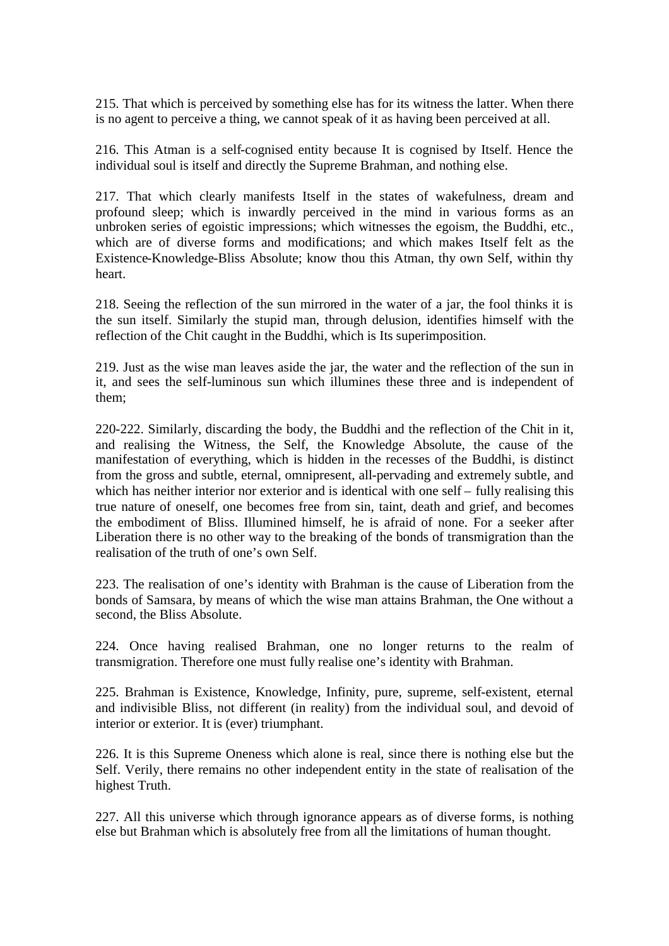215. That which is perceived by something else has for its witness the latter. When there is no agent to perceive a thing, we cannot speak of it as having been perceived at all.

216. This Atman is a self-cognised entity because It is cognised by Itself. Hence the individual soul is itself and directly the Supreme Brahman, and nothing else.

217. That which clearly manifests Itself in the states of wakefulness, dream and profound sleep; which is inwardly perceived in the mind in various forms as an unbroken series of egoistic impressions; which witnesses the egoism, the Buddhi, etc., which are of diverse forms and modifications; and which makes Itself felt as the Existence-Knowledge-Bliss Absolute; know thou this Atman, thy own Self, within thy heart.

218. Seeing the reflection of the sun mirrored in the water of a jar, the fool thinks it is the sun itself. Similarly the stupid man, through delusion, identifies himself with the reflection of the Chit caught in the Buddhi, which is Its superimposition.

219. Just as the wise man leaves aside the jar, the water and the reflection of the sun in it, and sees the self-luminous sun which illumines these three and is independent of them;

220-222. Similarly, discarding the body, the Buddhi and the reflection of the Chit in it, and realising the Witness, the Self, the Knowledge Absolute, the cause of the manifestation of everything, which is hidden in the recesses of the Buddhi, is distinct from the gross and subtle, eternal, omnipresent, all-pervading and extremely subtle, and which has neither interior nor exterior and is identical with one self – fully realising this true nature of oneself, one becomes free from sin, taint, death and grief, and becomes the embodiment of Bliss. Illumined himself, he is afraid of none. For a seeker after Liberation there is no other way to the breaking of the bonds of transmigration than the realisation of the truth of one's own Self.

223. The realisation of one's identity with Brahman is the cause of Liberation from the bonds of Samsara, by means of which the wise man attains Brahman, the One without a second, the Bliss Absolute.

224. Once having realised Brahman, one no longer returns to the realm of transmigration. Therefore one must fully realise one's identity with Brahman.

225. Brahman is Existence, Knowledge, Infinity, pure, supreme, self-existent, eternal and indivisible Bliss, not different (in reality) from the individual soul, and devoid of interior or exterior. It is (ever) triumphant.

226. It is this Supreme Oneness which alone is real, since there is nothing else but the Self. Verily, there remains no other independent entity in the state of realisation of the highest Truth.

227. All this universe which through ignorance appears as of diverse forms, is nothing else but Brahman which is absolutely free from all the limitations of human thought.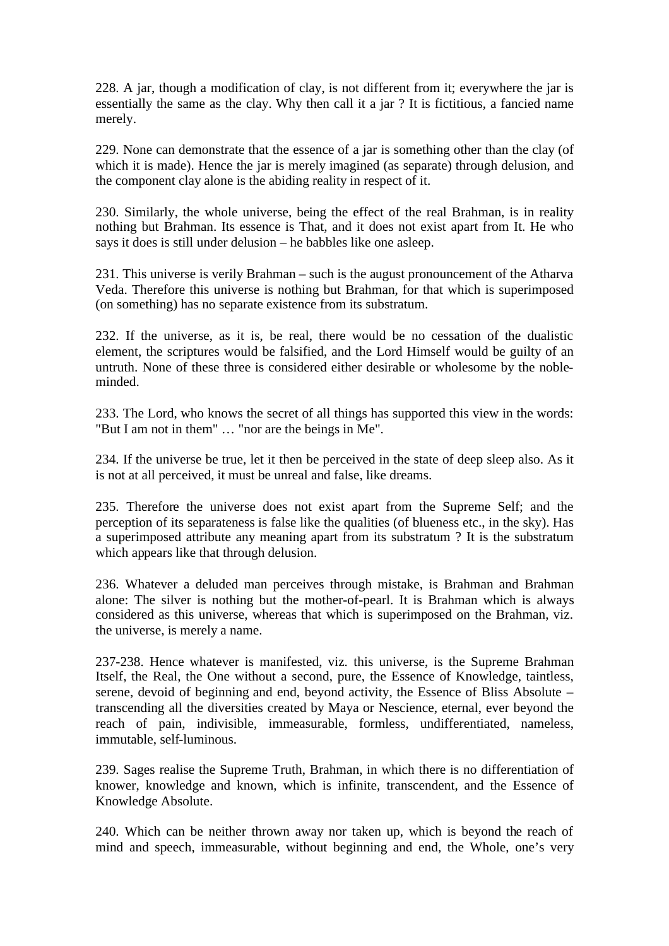228. A jar, though a modification of clay, is not different from it; everywhere the jar is essentially the same as the clay. Why then call it a jar ? It is fictitious, a fancied name merely.

229. None can demonstrate that the essence of a jar is something other than the clay (of which it is made). Hence the jar is merely imagined (as separate) through delusion, and the component clay alone is the abiding reality in respect of it.

230. Similarly, the whole universe, being the effect of the real Brahman, is in reality nothing but Brahman. Its essence is That, and it does not exist apart from It. He who says it does is still under delusion – he babbles like one asleep.

231. This universe is verily Brahman – such is the august pronouncement of the Atharva Veda. Therefore this universe is nothing but Brahman, for that which is superimposed (on something) has no separate existence from its substratum.

232. If the universe, as it is, be real, there would be no cessation of the dualistic element, the scriptures would be falsified, and the Lord Himself would be guilty of an untruth. None of these three is considered either desirable or wholesome by the nobleminded.

233. The Lord, who knows the secret of all things has supported this view in the words: "But I am not in them" … "nor are the beings in Me".

234. If the universe be true, let it then be perceived in the state of deep sleep also. As it is not at all perceived, it must be unreal and false, like dreams.

235. Therefore the universe does not exist apart from the Supreme Self; and the perception of its separateness is false like the qualities (of blueness etc., in the sky). Has a superimposed attribute any meaning apart from its substratum ? It is the substratum which appears like that through delusion.

236. Whatever a deluded man perceives through mistake, is Brahman and Brahman alone: The silver is nothing but the mother-of-pearl. It is Brahman which is always considered as this universe, whereas that which is superimposed on the Brahman, viz. the universe, is merely a name.

237-238. Hence whatever is manifested, viz. this universe, is the Supreme Brahman Itself, the Real, the One without a second, pure, the Essence of Knowledge, taintless, serene, devoid of beginning and end, beyond activity, the Essence of Bliss Absolute – transcending all the diversities created by Maya or Nescience, eternal, ever beyond the reach of pain, indivisible, immeasurable, formless, undifferentiated, nameless, immutable, self-luminous.

239. Sages realise the Supreme Truth, Brahman, in which there is no differentiation of knower, knowledge and known, which is infinite, transcendent, and the Essence of Knowledge Absolute.

240. Which can be neither thrown away nor taken up, which is beyond the reach of mind and speech, immeasurable, without beginning and end, the Whole, one's very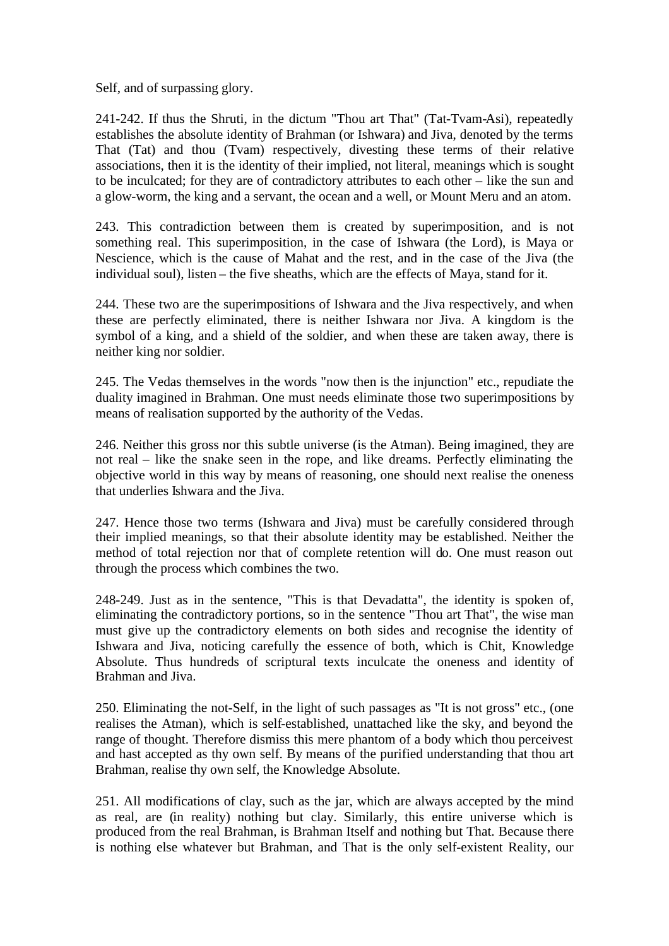Self, and of surpassing glory.

241-242. If thus the Shruti, in the dictum "Thou art That" (Tat-Tvam-Asi), repeatedly establishes the absolute identity of Brahman (or Ishwara) and Jiva, denoted by the terms That (Tat) and thou (Tvam) respectively, divesting these terms of their relative associations, then it is the identity of their implied, not literal, meanings which is sought to be inculcated; for they are of contradictory attributes to each other – like the sun and a glow-worm, the king and a servant, the ocean and a well, or Mount Meru and an atom.

243. This contradiction between them is created by superimposition, and is not something real. This superimposition, in the case of Ishwara (the Lord), is Maya or Nescience, which is the cause of Mahat and the rest, and in the case of the Jiva (the individual soul), listen – the five sheaths, which are the effects of Maya, stand for it.

244. These two are the superimpositions of Ishwara and the Jiva respectively, and when these are perfectly eliminated, there is neither Ishwara nor Jiva. A kingdom is the symbol of a king, and a shield of the soldier, and when these are taken away, there is neither king nor soldier.

245. The Vedas themselves in the words "now then is the injunction" etc., repudiate the duality imagined in Brahman. One must needs eliminate those two superimpositions by means of realisation supported by the authority of the Vedas.

246. Neither this gross nor this subtle universe (is the Atman). Being imagined, they are not real – like the snake seen in the rope, and like dreams. Perfectly eliminating the objective world in this way by means of reasoning, one should next realise the oneness that underlies Ishwara and the Jiva.

247. Hence those two terms (Ishwara and Jiva) must be carefully considered through their implied meanings, so that their absolute identity may be established. Neither the method of total rejection nor that of complete retention will do. One must reason out through the process which combines the two.

248-249. Just as in the sentence, "This is that Devadatta", the identity is spoken of, eliminating the contradictory portions, so in the sentence "Thou art That", the wise man must give up the contradictory elements on both sides and recognise the identity of Ishwara and Jiva, noticing carefully the essence of both, which is Chit, Knowledge Absolute. Thus hundreds of scriptural texts inculcate the oneness and identity of Brahman and Jiva.

250. Eliminating the not-Self, in the light of such passages as "It is not gross" etc., (one realises the Atman), which is self-established, unattached like the sky, and beyond the range of thought. Therefore dismiss this mere phantom of a body which thou perceivest and hast accepted as thy own self. By means of the purified understanding that thou art Brahman, realise thy own self, the Knowledge Absolute.

251. All modifications of clay, such as the jar, which are always accepted by the mind as real, are (in reality) nothing but clay. Similarly, this entire universe which is produced from the real Brahman, is Brahman Itself and nothing but That. Because there is nothing else whatever but Brahman, and That is the only self-existent Reality, our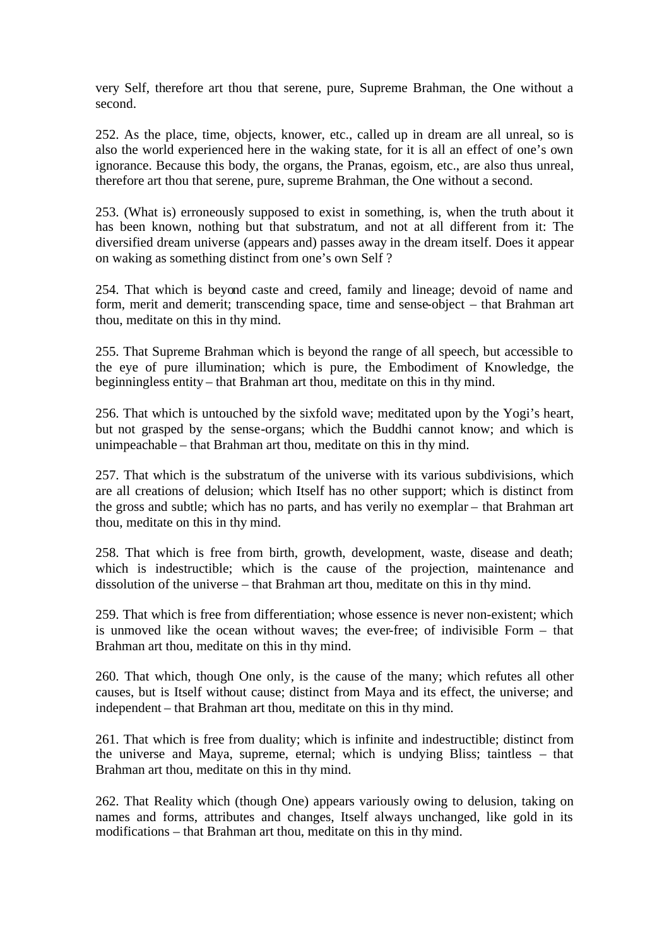very Self, therefore art thou that serene, pure, Supreme Brahman, the One without a second.

252. As the place, time, objects, knower, etc., called up in dream are all unreal, so is also the world experienced here in the waking state, for it is all an effect of one's own ignorance. Because this body, the organs, the Pranas, egoism, etc., are also thus unreal, therefore art thou that serene, pure, supreme Brahman, the One without a second.

253. (What is) erroneously supposed to exist in something, is, when the truth about it has been known, nothing but that substratum, and not at all different from it: The diversified dream universe (appears and) passes away in the dream itself. Does it appear on waking as something distinct from one's own Self ?

254. That which is beyond caste and creed, family and lineage; devoid of name and form, merit and demerit; transcending space, time and sense-object – that Brahman art thou, meditate on this in thy mind.

255. That Supreme Brahman which is beyond the range of all speech, but accessible to the eye of pure illumination; which is pure, the Embodiment of Knowledge, the beginningless entity – that Brahman art thou, meditate on this in thy mind.

256. That which is untouched by the sixfold wave; meditated upon by the Yogi's heart, but not grasped by the sense-organs; which the Buddhi cannot know; and which is unimpeachable – that Brahman art thou, meditate on this in thy mind.

257. That which is the substratum of the universe with its various subdivisions, which are all creations of delusion; which Itself has no other support; which is distinct from the gross and subtle; which has no parts, and has verily no exemplar – that Brahman art thou, meditate on this in thy mind.

258. That which is free from birth, growth, development, waste, disease and death; which is indestructible; which is the cause of the projection, maintenance and dissolution of the universe – that Brahman art thou, meditate on this in thy mind.

259. That which is free from differentiation; whose essence is never non-existent; which is unmoved like the ocean without waves; the ever-free; of indivisible Form – that Brahman art thou, meditate on this in thy mind.

260. That which, though One only, is the cause of the many; which refutes all other causes, but is Itself without cause; distinct from Maya and its effect, the universe; and independent – that Brahman art thou, meditate on this in thy mind.

261. That which is free from duality; which is infinite and indestructible; distinct from the universe and Maya, supreme, eternal; which is undying Bliss; taintless – that Brahman art thou, meditate on this in thy mind.

262. That Reality which (though One) appears variously owing to delusion, taking on names and forms, attributes and changes, Itself always unchanged, like gold in its modifications – that Brahman art thou, meditate on this in thy mind.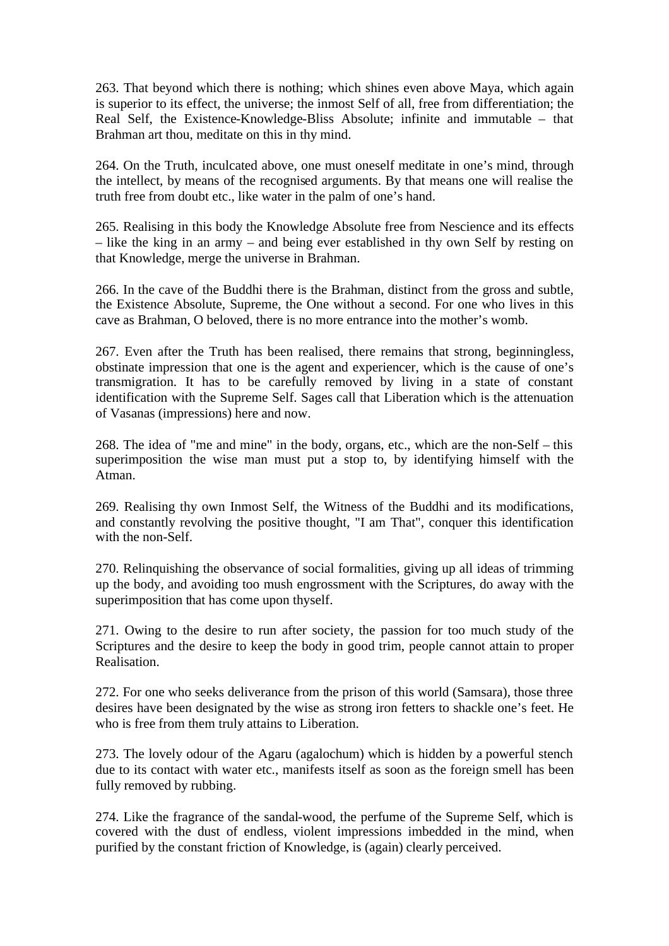263. That beyond which there is nothing; which shines even above Maya, which again is superior to its effect, the universe; the inmost Self of all, free from differentiation; the Real Self, the Existence-Knowledge-Bliss Absolute; infinite and immutable – that Brahman art thou, meditate on this in thy mind.

264. On the Truth, inculcated above, one must oneself meditate in one's mind, through the intellect, by means of the recognised arguments. By that means one will realise the truth free from doubt etc., like water in the palm of one's hand.

265. Realising in this body the Knowledge Absolute free from Nescience and its effects – like the king in an army – and being ever established in thy own Self by resting on that Knowledge, merge the universe in Brahman.

266. In the cave of the Buddhi there is the Brahman, distinct from the gross and subtle, the Existence Absolute, Supreme, the One without a second. For one who lives in this cave as Brahman, O beloved, there is no more entrance into the mother's womb.

267. Even after the Truth has been realised, there remains that strong, beginningless, obstinate impression that one is the agent and experiencer, which is the cause of one's transmigration. It has to be carefully removed by living in a state of constant identification with the Supreme Self. Sages call that Liberation which is the attenuation of Vasanas (impressions) here and now.

268. The idea of "me and mine" in the body, organs, etc., which are the non-Self – this superimposition the wise man must put a stop to, by identifying himself with the Atman.

269. Realising thy own Inmost Self, the Witness of the Buddhi and its modifications, and constantly revolving the positive thought, "I am That", conquer this identification with the non-Self.

270. Relinquishing the observance of social formalities, giving up all ideas of trimming up the body, and avoiding too mush engrossment with the Scriptures, do away with the superimposition that has come upon thyself.

271. Owing to the desire to run after society, the passion for too much study of the Scriptures and the desire to keep the body in good trim, people cannot attain to proper Realisation.

272. For one who seeks deliverance from the prison of this world (Samsara), those three desires have been designated by the wise as strong iron fetters to shackle one's feet. He who is free from them truly attains to Liberation.

273. The lovely odour of the Agaru (agalochum) which is hidden by a powerful stench due to its contact with water etc., manifests itself as soon as the foreign smell has been fully removed by rubbing.

274. Like the fragrance of the sandal-wood, the perfume of the Supreme Self, which is covered with the dust of endless, violent impressions imbedded in the mind, when purified by the constant friction of Knowledge, is (again) clearly perceived.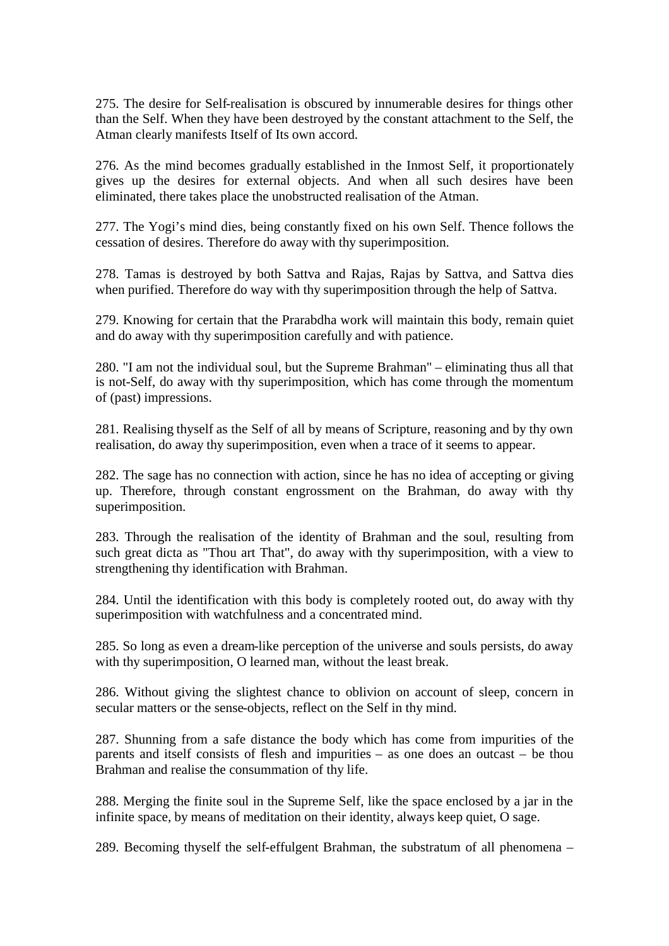275. The desire for Self-realisation is obscured by innumerable desires for things other than the Self. When they have been destroyed by the constant attachment to the Self, the Atman clearly manifests Itself of Its own accord.

276. As the mind becomes gradually established in the Inmost Self, it proportionately gives up the desires for external objects. And when all such desires have been eliminated, there takes place the unobstructed realisation of the Atman.

277. The Yogi's mind dies, being constantly fixed on his own Self. Thence follows the cessation of desires. Therefore do away with thy superimposition.

278. Tamas is destroyed by both Sattva and Rajas, Rajas by Sattva, and Sattva dies when purified. Therefore do way with thy superimposition through the help of Sattva.

279. Knowing for certain that the Prarabdha work will maintain this body, remain quiet and do away with thy superimposition carefully and with patience.

280. "I am not the individual soul, but the Supreme Brahman" – eliminating thus all that is not-Self, do away with thy superimposition, which has come through the momentum of (past) impressions.

281. Realising thyself as the Self of all by means of Scripture, reasoning and by thy own realisation, do away thy superimposition, even when a trace of it seems to appear.

282. The sage has no connection with action, since he has no idea of accepting or giving up. Therefore, through constant engrossment on the Brahman, do away with thy superimposition.

283. Through the realisation of the identity of Brahman and the soul, resulting from such great dicta as "Thou art That", do away with thy superimposition, with a view to strengthening thy identification with Brahman.

284. Until the identification with this body is completely rooted out, do away with thy superimposition with watchfulness and a concentrated mind.

285. So long as even a dream-like perception of the universe and souls persists, do away with thy superimposition, O learned man, without the least break.

286. Without giving the slightest chance to oblivion on account of sleep, concern in secular matters or the sense-objects, reflect on the Self in thy mind.

287. Shunning from a safe distance the body which has come from impurities of the parents and itself consists of flesh and impurities – as one does an outcast – be thou Brahman and realise the consummation of thy life.

288. Merging the finite soul in the Supreme Self, like the space enclosed by a jar in the infinite space, by means of meditation on their identity, always keep quiet, O sage.

289. Becoming thyself the self-effulgent Brahman, the substratum of all phenomena –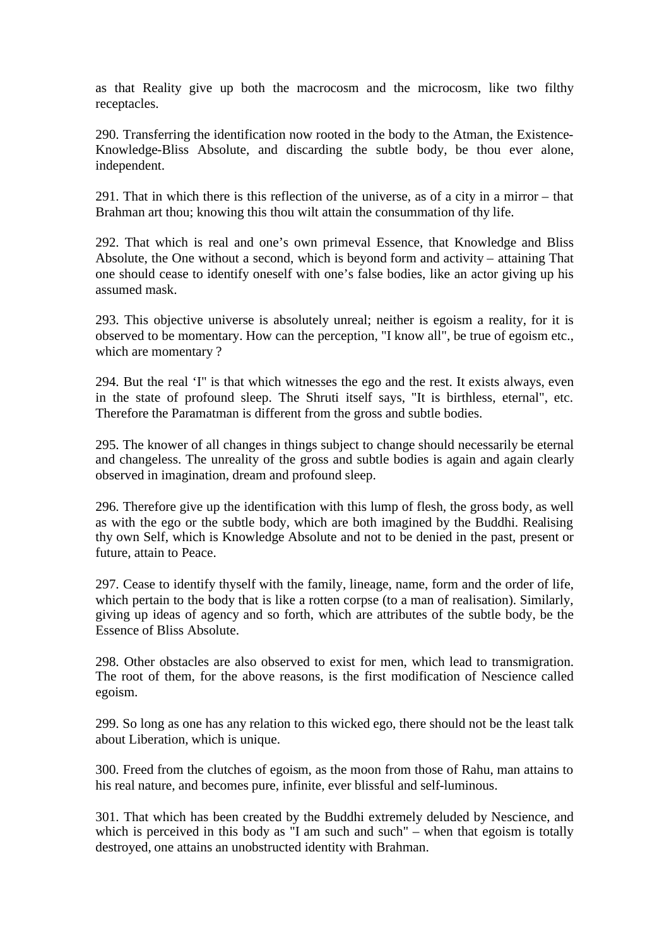as that Reality give up both the macrocosm and the microcosm, like two filthy receptacles.

290. Transferring the identification now rooted in the body to the Atman, the Existence-Knowledge-Bliss Absolute, and discarding the subtle body, be thou ever alone, independent.

291. That in which there is this reflection of the universe, as of a city in a mirror – that Brahman art thou; knowing this thou wilt attain the consummation of thy life.

292. That which is real and one's own primeval Essence, that Knowledge and Bliss Absolute, the One without a second, which is beyond form and activity – attaining That one should cease to identify oneself with one's false bodies, like an actor giving up his assumed mask.

293. This objective universe is absolutely unreal; neither is egoism a reality, for it is observed to be momentary. How can the perception, "I know all", be true of egoism etc., which are momentary ?

294. But the real 'I" is that which witnesses the ego and the rest. It exists always, even in the state of profound sleep. The Shruti itself says, "It is birthless, eternal", etc. Therefore the Paramatman is different from the gross and subtle bodies.

295. The knower of all changes in things subject to change should necessarily be eternal and changeless. The unreality of the gross and subtle bodies is again and again clearly observed in imagination, dream and profound sleep.

296. Therefore give up the identification with this lump of flesh, the gross body, as well as with the ego or the subtle body, which are both imagined by the Buddhi. Realising thy own Self, which is Knowledge Absolute and not to be denied in the past, present or future, attain to Peace.

297. Cease to identify thyself with the family, lineage, name, form and the order of life, which pertain to the body that is like a rotten corpse (to a man of realisation). Similarly, giving up ideas of agency and so forth, which are attributes of the subtle body, be the Essence of Bliss Absolute.

298. Other obstacles are also observed to exist for men, which lead to transmigration. The root of them, for the above reasons, is the first modification of Nescience called egoism.

299. So long as one has any relation to this wicked ego, there should not be the least talk about Liberation, which is unique.

300. Freed from the clutches of egoism, as the moon from those of Rahu, man attains to his real nature, and becomes pure, infinite, ever blissful and self-luminous.

301. That which has been created by the Buddhi extremely deluded by Nescience, and which is perceived in this body as  $\overline{I}$  am such and such" – when that egoism is totally destroyed, one attains an unobstructed identity with Brahman.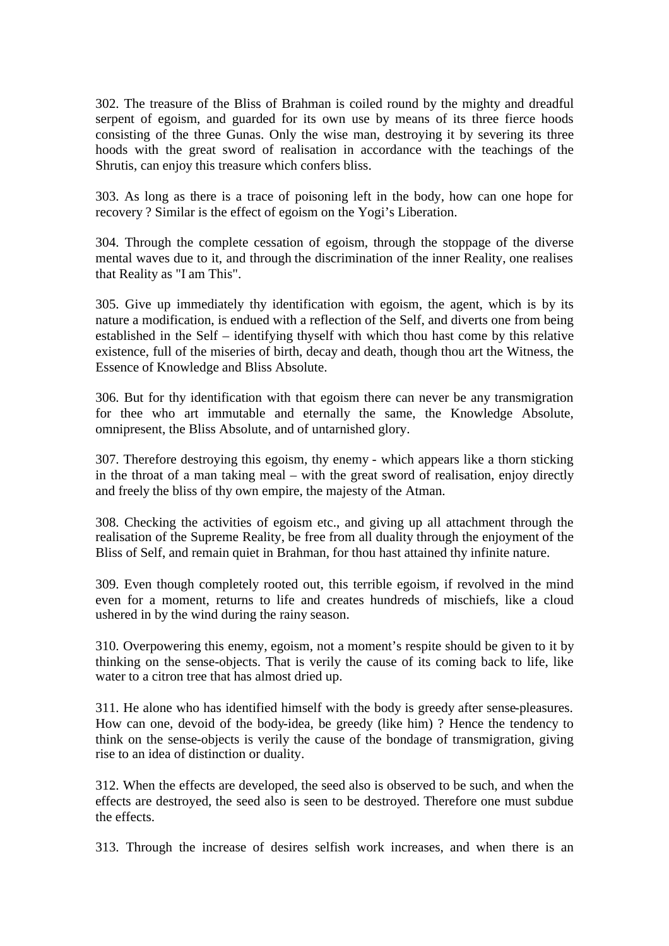302. The treasure of the Bliss of Brahman is coiled round by the mighty and dreadful serpent of egoism, and guarded for its own use by means of its three fierce hoods consisting of the three Gunas. Only the wise man, destroying it by severing its three hoods with the great sword of realisation in accordance with the teachings of the Shrutis, can enjoy this treasure which confers bliss.

303. As long as there is a trace of poisoning left in the body, how can one hope for recovery ? Similar is the effect of egoism on the Yogi's Liberation.

304. Through the complete cessation of egoism, through the stoppage of the diverse mental waves due to it, and through the discrimination of the inner Reality, one realises that Reality as "I am This".

305. Give up immediately thy identification with egoism, the agent, which is by its nature a modification, is endued with a reflection of the Self, and diverts one from being established in the Self – identifying thyself with which thou hast come by this relative existence, full of the miseries of birth, decay and death, though thou art the Witness, the Essence of Knowledge and Bliss Absolute.

306. But for thy identification with that egoism there can never be any transmigration for thee who art immutable and eternally the same, the Knowledge Absolute, omnipresent, the Bliss Absolute, and of untarnished glory.

307. Therefore destroying this egoism, thy enemy - which appears like a thorn sticking in the throat of a man taking meal – with the great sword of realisation, enjoy directly and freely the bliss of thy own empire, the majesty of the Atman.

308. Checking the activities of egoism etc., and giving up all attachment through the realisation of the Supreme Reality, be free from all duality through the enjoyment of the Bliss of Self, and remain quiet in Brahman, for thou hast attained thy infinite nature.

309. Even though completely rooted out, this terrible egoism, if revolved in the mind even for a moment, returns to life and creates hundreds of mischiefs, like a cloud ushered in by the wind during the rainy season.

310. Overpowering this enemy, egoism, not a moment's respite should be given to it by thinking on the sense-objects. That is verily the cause of its coming back to life, like water to a citron tree that has almost dried up.

311. He alone who has identified himself with the body is greedy after sense-pleasures. How can one, devoid of the body-idea, be greedy (like him) ? Hence the tendency to think on the sense-objects is verily the cause of the bondage of transmigration, giving rise to an idea of distinction or duality.

312. When the effects are developed, the seed also is observed to be such, and when the effects are destroyed, the seed also is seen to be destroyed. Therefore one must subdue the effects.

313. Through the increase of desires selfish work increases, and when there is an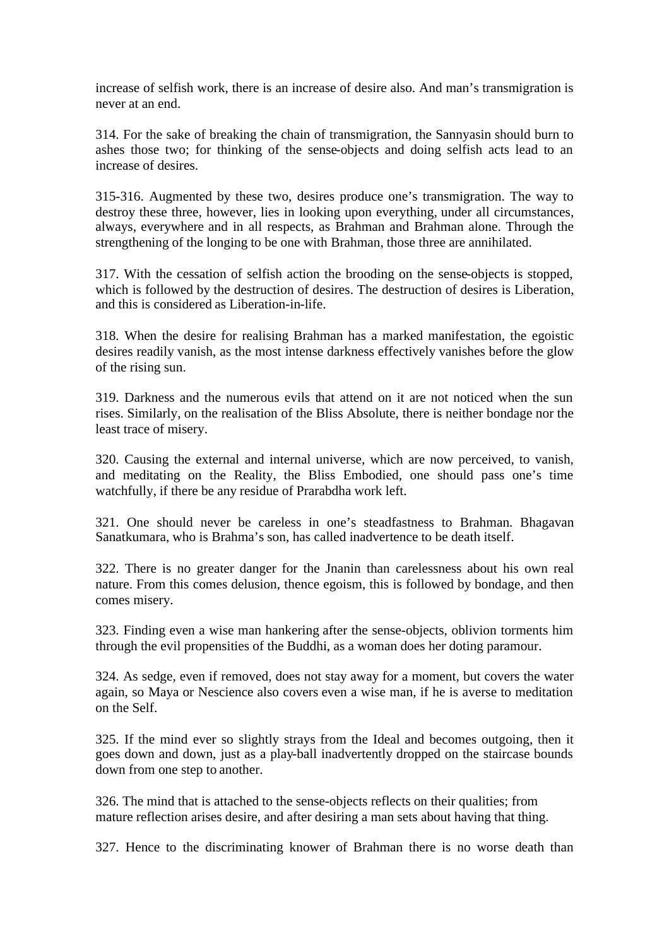increase of selfish work, there is an increase of desire also. And man's transmigration is never at an end.

314. For the sake of breaking the chain of transmigration, the Sannyasin should burn to ashes those two; for thinking of the sense-objects and doing selfish acts lead to an increase of desires.

315-316. Augmented by these two, desires produce one's transmigration. The way to destroy these three, however, lies in looking upon everything, under all circumstances, always, everywhere and in all respects, as Brahman and Brahman alone. Through the strengthening of the longing to be one with Brahman, those three are annihilated.

317. With the cessation of selfish action the brooding on the sense-objects is stopped, which is followed by the destruction of desires. The destruction of desires is Liberation, and this is considered as Liberation-in-life.

318. When the desire for realising Brahman has a marked manifestation, the egoistic desires readily vanish, as the most intense darkness effectively vanishes before the glow of the rising sun.

319. Darkness and the numerous evils that attend on it are not noticed when the sun rises. Similarly, on the realisation of the Bliss Absolute, there is neither bondage nor the least trace of misery.

320. Causing the external and internal universe, which are now perceived, to vanish, and meditating on the Reality, the Bliss Embodied, one should pass one's time watchfully, if there be any residue of Prarabdha work left.

321. One should never be careless in one's steadfastness to Brahman. Bhagavan Sanatkumara, who is Brahma's son, has called inadvertence to be death itself.

322. There is no greater danger for the Jnanin than carelessness about his own real nature. From this comes delusion, thence egoism, this is followed by bondage, and then comes misery.

323. Finding even a wise man hankering after the sense-objects, oblivion torments him through the evil propensities of the Buddhi, as a woman does her doting paramour.

324. As sedge, even if removed, does not stay away for a moment, but covers the water again, so Maya or Nescience also covers even a wise man, if he is averse to meditation on the Self.

325. If the mind ever so slightly strays from the Ideal and becomes outgoing, then it goes down and down, just as a play-ball inadvertently dropped on the staircase bounds down from one step to another.

326. The mind that is attached to the sense-objects reflects on their qualities; from mature reflection arises desire, and after desiring a man sets about having that thing.

327. Hence to the discriminating knower of Brahman there is no worse death than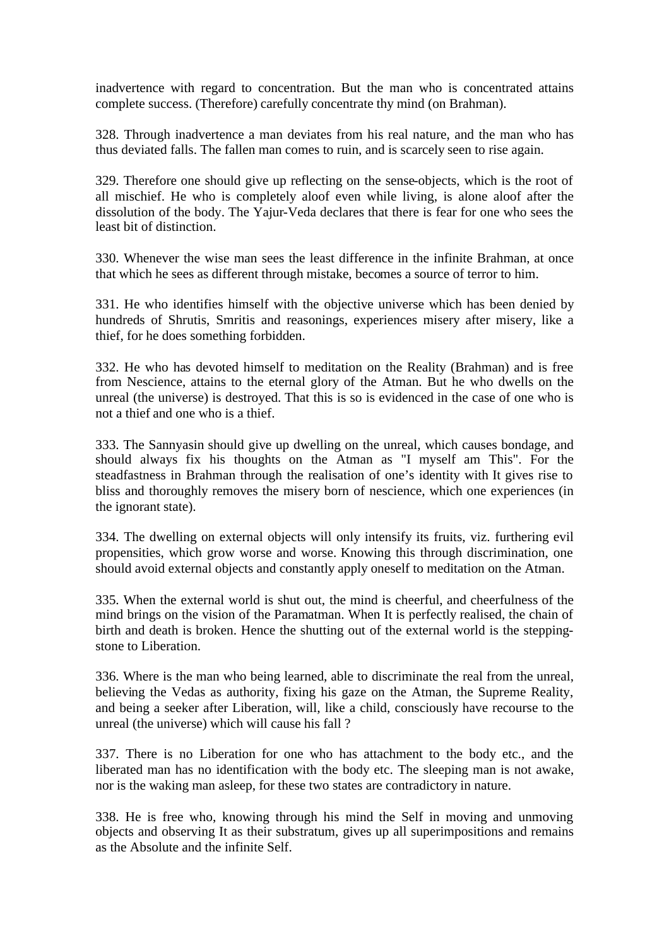inadvertence with regard to concentration. But the man who is concentrated attains complete success. (Therefore) carefully concentrate thy mind (on Brahman).

328. Through inadvertence a man deviates from his real nature, and the man who has thus deviated falls. The fallen man comes to ruin, and is scarcely seen to rise again.

329. Therefore one should give up reflecting on the sense-objects, which is the root of all mischief. He who is completely aloof even while living, is alone aloof after the dissolution of the body. The Yajur-Veda declares that there is fear for one who sees the least bit of distinction.

330. Whenever the wise man sees the least difference in the infinite Brahman, at once that which he sees as different through mistake, becomes a source of terror to him.

331. He who identifies himself with the objective universe which has been denied by hundreds of Shrutis, Smritis and reasonings, experiences misery after misery, like a thief, for he does something forbidden.

332. He who has devoted himself to meditation on the Reality (Brahman) and is free from Nescience, attains to the eternal glory of the Atman. But he who dwells on the unreal (the universe) is destroyed. That this is so is evidenced in the case of one who is not a thief and one who is a thief.

333. The Sannyasin should give up dwelling on the unreal, which causes bondage, and should always fix his thoughts on the Atman as "I myself am This". For the steadfastness in Brahman through the realisation of one's identity with It gives rise to bliss and thoroughly removes the misery born of nescience, which one experiences (in the ignorant state).

334. The dwelling on external objects will only intensify its fruits, viz. furthering evil propensities, which grow worse and worse. Knowing this through discrimination, one should avoid external objects and constantly apply oneself to meditation on the Atman.

335. When the external world is shut out, the mind is cheerful, and cheerfulness of the mind brings on the vision of the Paramatman. When It is perfectly realised, the chain of birth and death is broken. Hence the shutting out of the external world is the steppingstone to Liberation.

336. Where is the man who being learned, able to discriminate the real from the unreal, believing the Vedas as authority, fixing his gaze on the Atman, the Supreme Reality, and being a seeker after Liberation, will, like a child, consciously have recourse to the unreal (the universe) which will cause his fall ?

337. There is no Liberation for one who has attachment to the body etc., and the liberated man has no identification with the body etc. The sleeping man is not awake, nor is the waking man asleep, for these two states are contradictory in nature.

338. He is free who, knowing through his mind the Self in moving and unmoving objects and observing It as their substratum, gives up all superimpositions and remains as the Absolute and the infinite Self.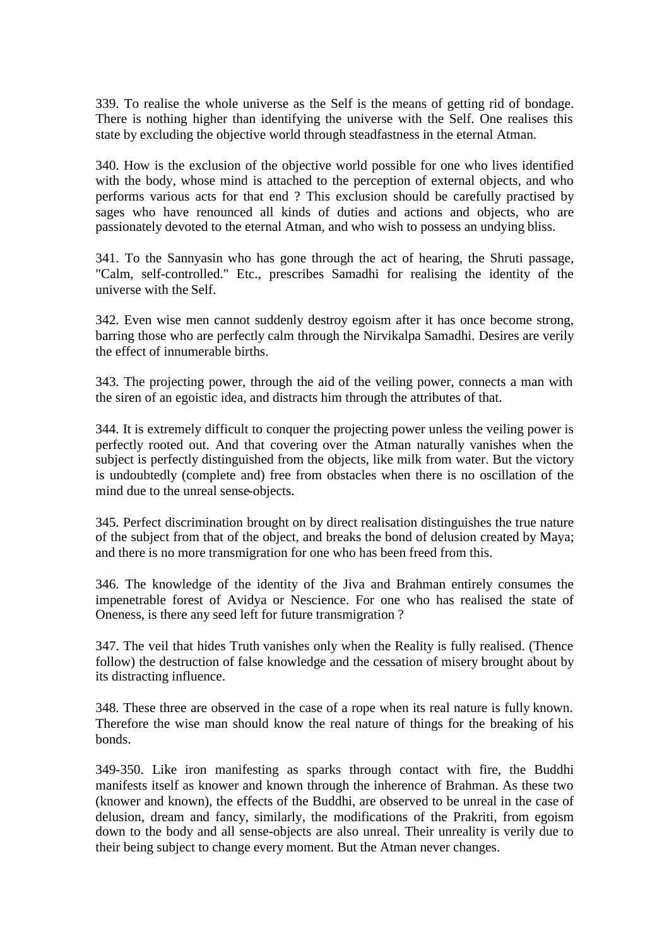339. To realise the whole universe as the Self is the means of getting rid of bondage. There is nothing higher than identifying the universe with the Self. One realises this state by excluding the objective world through steadfastness in the eternal Atman.

340. How is the exclusion of the objective world possible for one who lives identified with the body, whose mind is attached to the perception of external objects, and who performs various acts for that end ? This exclusion should be carefully practised by sages who have renounced all kinds of duties and actions and objects, who are passionately devoted to the eternal Atman, and who wish to possess an undying bliss.

341. To the Sannyasin who has gone through the act of hearing, the Shruti passage, "Calm, self-controlled." Etc., prescribes Samadhi for realising the identity of the universe with the Self.

342. Even wise men cannot suddenly destroy egoism after it has once become strong, barring those who are perfectly calm through the Nirvikalpa Samadhi. Desires are verily the effect of innumerable births.

343. The projecting power, through the aid of the veiling power, connects a man with the siren of an egoistic idea, and distracts him through the attributes of that.

344. It is extremely difficult to conquer the projecting power unless the veiling power is perfectly rooted out. And that covering over the Atman naturally vanishes when the subject is perfectly distinguished from the objects, like milk from water. But the victory is undoubtedly (complete and) free from obstacles when there is no oscillation of the mind due to the unreal sense-objects.

345. Perfect discrimination brought on by direct realisation distinguishes the true nature of the subject from that of the object, and breaks the bond of delusion created by Maya; and there is no more transmigration for one who has been freed from this.

346. The knowledge of the identity of the Jiva and Brahman entirely consumes the impenetrable forest of Avidya or Nescience. For one who has realised the state of Oneness, is there any seed left for future transmigration ?

347. The veil that hides Truth vanishes only when the Reality is fully realised. (Thence follow) the destruction of false knowledge and the cessation of misery brought about by its distracting influence.

348. These three are observed in the case of a rope when its real nature is fully known. Therefore the wise man should know the real nature of things for the breaking of his bonds.

349-350. Like iron manifesting as sparks through contact with fire, the Buddhi manifests itself as knower and known through the inherence of Brahman. As these two (knower and known), the effects of the Buddhi, are observed to be unreal in the case of delusion, dream and fancy, similarly, the modifications of the Prakriti, from egoism down to the body and all sense-objects are also unreal. Their unreality is verily due to their being subject to change every moment. But the Atman never changes.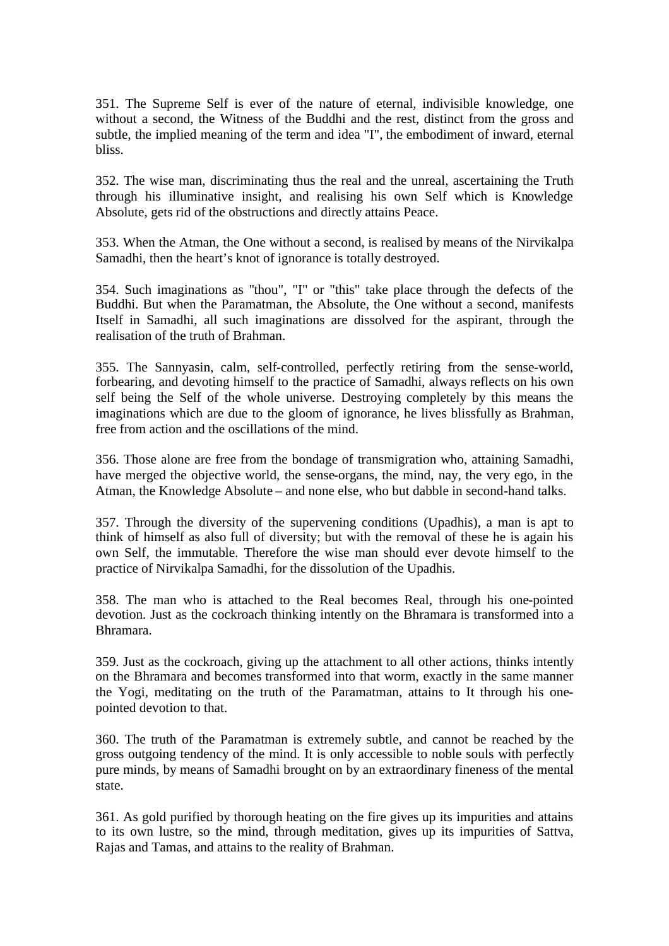351. The Supreme Self is ever of the nature of eternal, indivisible knowledge, one without a second, the Witness of the Buddhi and the rest, distinct from the gross and subtle, the implied meaning of the term and idea "I", the embodiment of inward, eternal bliss.

352. The wise man, discriminating thus the real and the unreal, ascertaining the Truth through his illuminative insight, and realising his own Self which is Knowledge Absolute, gets rid of the obstructions and directly attains Peace.

353. When the Atman, the One without a second, is realised by means of the Nirvikalpa Samadhi, then the heart's knot of ignorance is totally destroyed.

354. Such imaginations as "thou", "I" or "this" take place through the defects of the Buddhi. But when the Paramatman, the Absolute, the One without a second, manifests Itself in Samadhi, all such imaginations are dissolved for the aspirant, through the realisation of the truth of Brahman.

355. The Sannyasin, calm, self-controlled, perfectly retiring from the sense-world, forbearing, and devoting himself to the practice of Samadhi, always reflects on his own self being the Self of the whole universe. Destroying completely by this means the imaginations which are due to the gloom of ignorance, he lives blissfully as Brahman, free from action and the oscillations of the mind.

356. Those alone are free from the bondage of transmigration who, attaining Samadhi, have merged the objective world, the sense-organs, the mind, nay, the very ego, in the Atman, the Knowledge Absolute – and none else, who but dabble in second-hand talks.

357. Through the diversity of the supervening conditions (Upadhis), a man is apt to think of himself as also full of diversity; but with the removal of these he is again his own Self, the immutable. Therefore the wise man should ever devote himself to the practice of Nirvikalpa Samadhi, for the dissolution of the Upadhis.

358. The man who is attached to the Real becomes Real, through his one-pointed devotion. Just as the cockroach thinking intently on the Bhramara is transformed into a Bhramara.

359. Just as the cockroach, giving up the attachment to all other actions, thinks intently on the Bhramara and becomes transformed into that worm, exactly in the same manner the Yogi, meditating on the truth of the Paramatman, attains to It through his onepointed devotion to that.

360. The truth of the Paramatman is extremely subtle, and cannot be reached by the gross outgoing tendency of the mind. It is only accessible to noble souls with perfectly pure minds, by means of Samadhi brought on by an extraordinary fineness of the mental state.

361. As gold purified by thorough heating on the fire gives up its impurities and attains to its own lustre, so the mind, through meditation, gives up its impurities of Sattva, Rajas and Tamas, and attains to the reality of Brahman.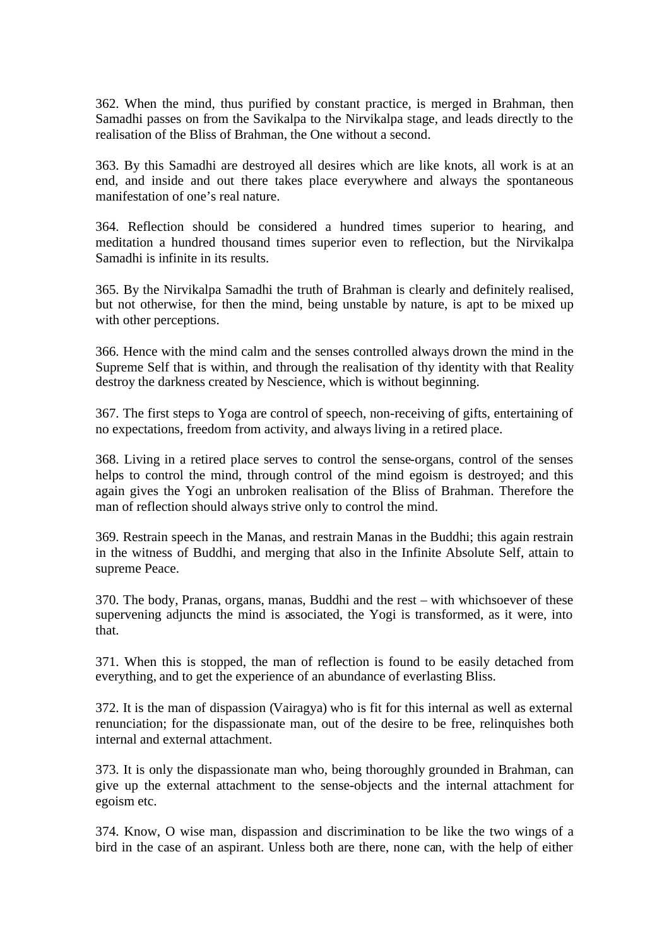362. When the mind, thus purified by constant practice, is merged in Brahman, then Samadhi passes on from the Savikalpa to the Nirvikalpa stage, and leads directly to the realisation of the Bliss of Brahman, the One without a second.

363. By this Samadhi are destroyed all desires which are like knots, all work is at an end, and inside and out there takes place everywhere and always the spontaneous manifestation of one's real nature.

364. Reflection should be considered a hundred times superior to hearing, and meditation a hundred thousand times superior even to reflection, but the Nirvikalpa Samadhi is infinite in its results.

365. By the Nirvikalpa Samadhi the truth of Brahman is clearly and definitely realised, but not otherwise, for then the mind, being unstable by nature, is apt to be mixed up with other perceptions.

366. Hence with the mind calm and the senses controlled always drown the mind in the Supreme Self that is within, and through the realisation of thy identity with that Reality destroy the darkness created by Nescience, which is without beginning.

367. The first steps to Yoga are control of speech, non-receiving of gifts, entertaining of no expectations, freedom from activity, and always living in a retired place.

368. Living in a retired place serves to control the sense-organs, control of the senses helps to control the mind, through control of the mind egoism is destroyed; and this again gives the Yogi an unbroken realisation of the Bliss of Brahman. Therefore the man of reflection should always strive only to control the mind.

369. Restrain speech in the Manas, and restrain Manas in the Buddhi; this again restrain in the witness of Buddhi, and merging that also in the Infinite Absolute Self, attain to supreme Peace.

370. The body, Pranas, organs, manas, Buddhi and the rest – with whichsoever of these supervening adjuncts the mind is associated, the Yogi is transformed, as it were, into that.

371. When this is stopped, the man of reflection is found to be easily detached from everything, and to get the experience of an abundance of everlasting Bliss.

372. It is the man of dispassion (Vairagya) who is fit for this internal as well as external renunciation; for the dispassionate man, out of the desire to be free, relinquishes both internal and external attachment.

373. It is only the dispassionate man who, being thoroughly grounded in Brahman, can give up the external attachment to the sense-objects and the internal attachment for egoism etc.

374. Know, O wise man, dispassion and discrimination to be like the two wings of a bird in the case of an aspirant. Unless both are there, none can, with the help of either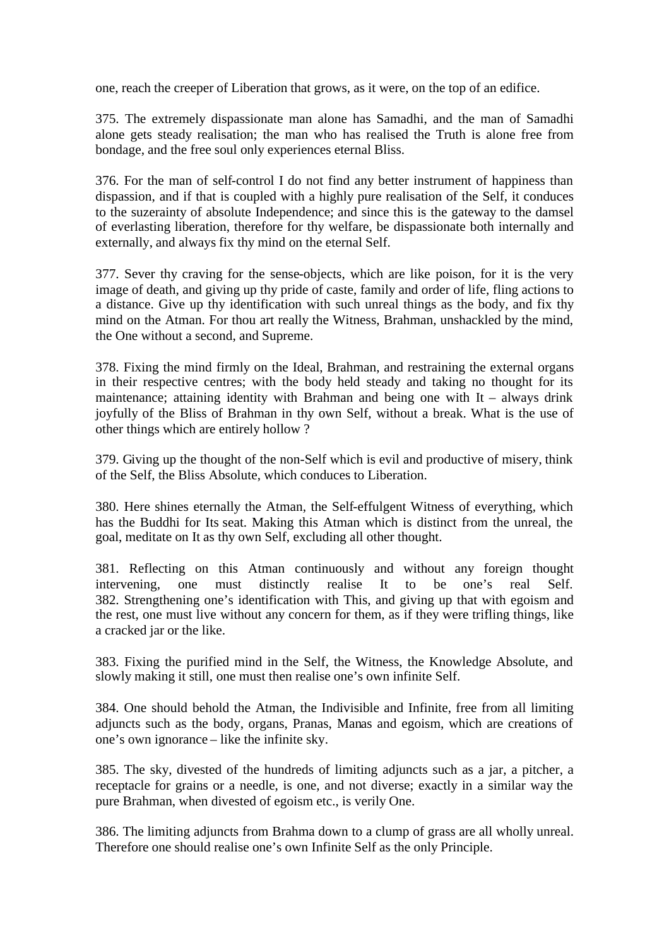one, reach the creeper of Liberation that grows, as it were, on the top of an edifice.

375. The extremely dispassionate man alone has Samadhi, and the man of Samadhi alone gets steady realisation; the man who has realised the Truth is alone free from bondage, and the free soul only experiences eternal Bliss.

376. For the man of self-control I do not find any better instrument of happiness than dispassion, and if that is coupled with a highly pure realisation of the Self, it conduces to the suzerainty of absolute Independence; and since this is the gateway to the damsel of everlasting liberation, therefore for thy welfare, be dispassionate both internally and externally, and always fix thy mind on the eternal Self.

377. Sever thy craving for the sense-objects, which are like poison, for it is the very image of death, and giving up thy pride of caste, family and order of life, fling actions to a distance. Give up thy identification with such unreal things as the body, and fix thy mind on the Atman. For thou art really the Witness, Brahman, unshackled by the mind, the One without a second, and Supreme.

378. Fixing the mind firmly on the Ideal, Brahman, and restraining the external organs in their respective centres; with the body held steady and taking no thought for its maintenance; attaining identity with Brahman and being one with  $It - always drink$ joyfully of the Bliss of Brahman in thy own Self, without a break. What is the use of other things which are entirely hollow ?

379. Giving up the thought of the non-Self which is evil and productive of misery, think of the Self, the Bliss Absolute, which conduces to Liberation.

380. Here shines eternally the Atman, the Self-effulgent Witness of everything, which has the Buddhi for Its seat. Making this Atman which is distinct from the unreal, the goal, meditate on It as thy own Self, excluding all other thought.

381. Reflecting on this Atman continuously and without any foreign thought intervening, one must distinctly realise It to be one's real Self. 382. Strengthening one's identification with This, and giving up that with egoism and the rest, one must live without any concern for them, as if they were trifling things, like a cracked jar or the like.

383. Fixing the purified mind in the Self, the Witness, the Knowledge Absolute, and slowly making it still, one must then realise one's own infinite Self.

384. One should behold the Atman, the Indivisible and Infinite, free from all limiting adjuncts such as the body, organs, Pranas, Manas and egoism, which are creations of one's own ignorance – like the infinite sky.

385. The sky, divested of the hundreds of limiting adjuncts such as a jar, a pitcher, a receptacle for grains or a needle, is one, and not diverse; exactly in a similar way the pure Brahman, when divested of egoism etc., is verily One.

386. The limiting adjuncts from Brahma down to a clump of grass are all wholly unreal. Therefore one should realise one's own Infinite Self as the only Principle.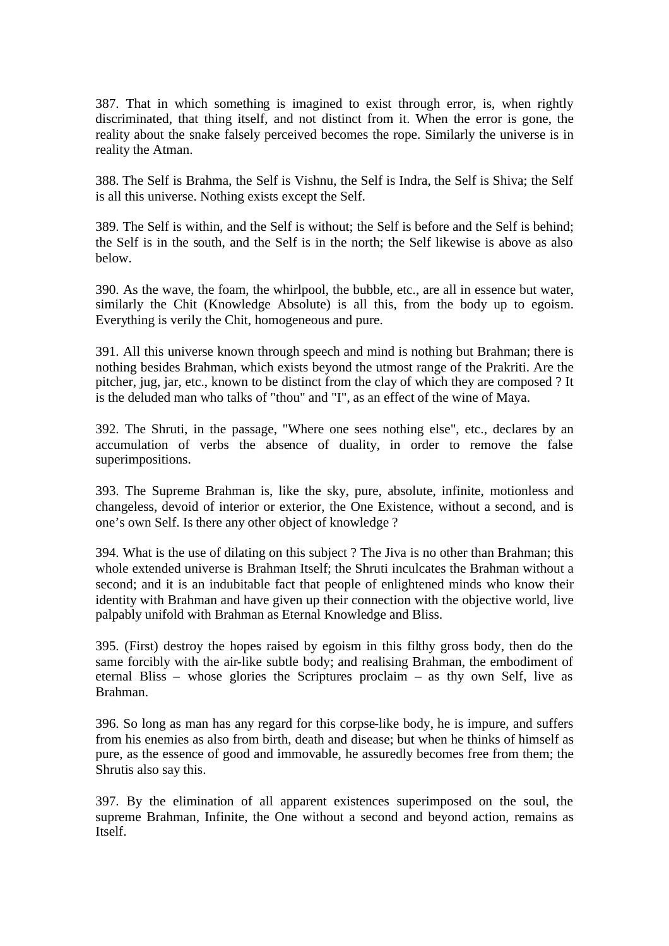387. That in which something is imagined to exist through error, is, when rightly discriminated, that thing itself, and not distinct from it. When the error is gone, the reality about the snake falsely perceived becomes the rope. Similarly the universe is in reality the Atman.

388. The Self is Brahma, the Self is Vishnu, the Self is Indra, the Self is Shiva; the Self is all this universe. Nothing exists except the Self.

389. The Self is within, and the Self is without; the Self is before and the Self is behind; the Self is in the south, and the Self is in the north; the Self likewise is above as also below.

390. As the wave, the foam, the whirlpool, the bubble, etc., are all in essence but water, similarly the Chit (Knowledge Absolute) is all this, from the body up to egoism. Everything is verily the Chit, homogeneous and pure.

391. All this universe known through speech and mind is nothing but Brahman; there is nothing besides Brahman, which exists beyond the utmost range of the Prakriti. Are the pitcher, jug, jar, etc., known to be distinct from the clay of which they are composed ? It is the deluded man who talks of "thou" and "I", as an effect of the wine of Maya.

392. The Shruti, in the passage, "Where one sees nothing else", etc., declares by an accumulation of verbs the absence of duality, in order to remove the false superimpositions.

393. The Supreme Brahman is, like the sky, pure, absolute, infinite, motionless and changeless, devoid of interior or exterior, the One Existence, without a second, and is one's own Self. Is there any other object of knowledge ?

394. What is the use of dilating on this subject ? The Jiva is no other than Brahman; this whole extended universe is Brahman Itself; the Shruti inculcates the Brahman without a second; and it is an indubitable fact that people of enlightened minds who know their identity with Brahman and have given up their connection with the objective world, live palpably unifold with Brahman as Eternal Knowledge and Bliss.

395. (First) destroy the hopes raised by egoism in this filthy gross body, then do the same forcibly with the air-like subtle body; and realising Brahman, the embodiment of eternal Bliss – whose glories the Scriptures proclaim – as thy own Self, live as Brahman.

396. So long as man has any regard for this corpse-like body, he is impure, and suffers from his enemies as also from birth, death and disease; but when he thinks of himself as pure, as the essence of good and immovable, he assuredly becomes free from them; the Shrutis also say this.

397. By the elimination of all apparent existences superimposed on the soul, the supreme Brahman, Infinite, the One without a second and beyond action, remains as Itself.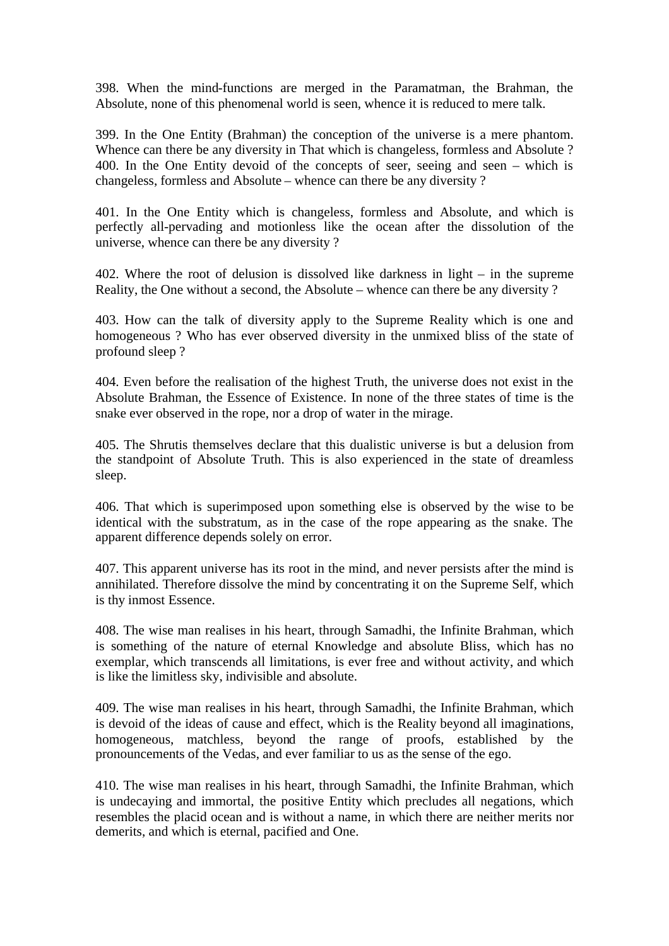398. When the mind-functions are merged in the Paramatman, the Brahman, the Absolute, none of this phenomenal world is seen, whence it is reduced to mere talk.

399. In the One Entity (Brahman) the conception of the universe is a mere phantom. Whence can there be any diversity in That which is changeless, formless and Absolute ? 400. In the One Entity devoid of the concepts of seer, seeing and seen – which is changeless, formless and Absolute – whence can there be any diversity ?

401. In the One Entity which is changeless, formless and Absolute, and which is perfectly all-pervading and motionless like the ocean after the dissolution of the universe, whence can there be any diversity ?

402. Where the root of delusion is dissolved like darkness in light – in the supreme Reality, the One without a second, the Absolute – whence can there be any diversity ?

403. How can the talk of diversity apply to the Supreme Reality which is one and homogeneous ? Who has ever observed diversity in the unmixed bliss of the state of profound sleep ?

404. Even before the realisation of the highest Truth, the universe does not exist in the Absolute Brahman, the Essence of Existence. In none of the three states of time is the snake ever observed in the rope, nor a drop of water in the mirage.

405. The Shrutis themselves declare that this dualistic universe is but a delusion from the standpoint of Absolute Truth. This is also experienced in the state of dreamless sleep.

406. That which is superimposed upon something else is observed by the wise to be identical with the substratum, as in the case of the rope appearing as the snake. The apparent difference depends solely on error.

407. This apparent universe has its root in the mind, and never persists after the mind is annihilated. Therefore dissolve the mind by concentrating it on the Supreme Self, which is thy inmost Essence.

408. The wise man realises in his heart, through Samadhi, the Infinite Brahman, which is something of the nature of eternal Knowledge and absolute Bliss, which has no exemplar, which transcends all limitations, is ever free and without activity, and which is like the limitless sky, indivisible and absolute.

409. The wise man realises in his heart, through Samadhi, the Infinite Brahman, which is devoid of the ideas of cause and effect, which is the Reality beyond all imaginations, homogeneous, matchless, beyond the range of proofs, established by the pronouncements of the Vedas, and ever familiar to us as the sense of the ego.

410. The wise man realises in his heart, through Samadhi, the Infinite Brahman, which is undecaying and immortal, the positive Entity which precludes all negations, which resembles the placid ocean and is without a name, in which there are neither merits nor demerits, and which is eternal, pacified and One.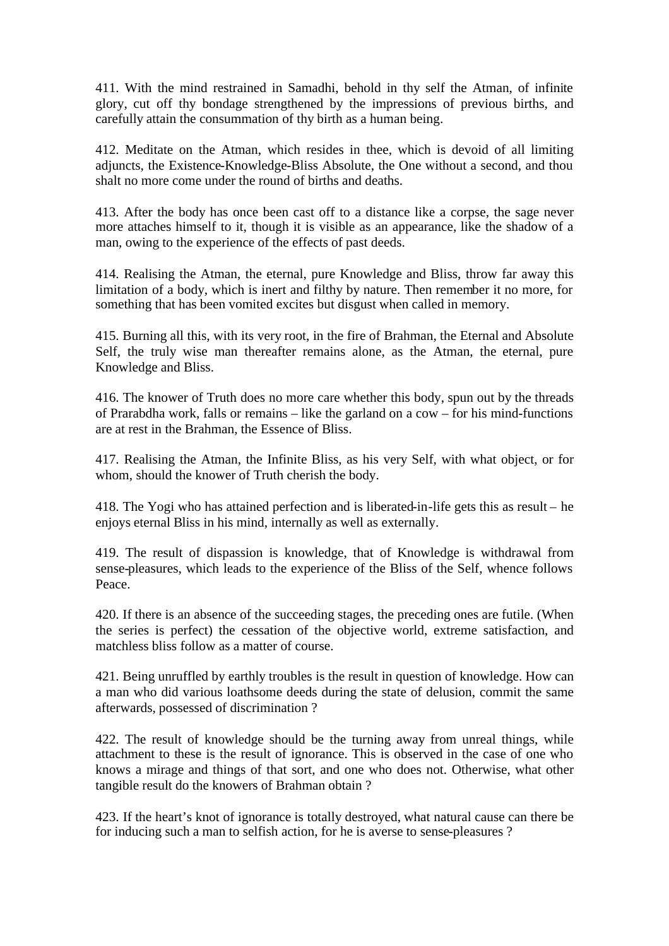411. With the mind restrained in Samadhi, behold in thy self the Atman, of infinite glory, cut off thy bondage strengthened by the impressions of previous births, and carefully attain the consummation of thy birth as a human being.

412. Meditate on the Atman, which resides in thee, which is devoid of all limiting adjuncts, the Existence-Knowledge-Bliss Absolute, the One without a second, and thou shalt no more come under the round of births and deaths.

413. After the body has once been cast off to a distance like a corpse, the sage never more attaches himself to it, though it is visible as an appearance, like the shadow of a man, owing to the experience of the effects of past deeds.

414. Realising the Atman, the eternal, pure Knowledge and Bliss, throw far away this limitation of a body, which is inert and filthy by nature. Then remember it no more, for something that has been vomited excites but disgust when called in memory.

415. Burning all this, with its very root, in the fire of Brahman, the Eternal and Absolute Self, the truly wise man thereafter remains alone, as the Atman, the eternal, pure Knowledge and Bliss.

416. The knower of Truth does no more care whether this body, spun out by the threads of Prarabdha work, falls or remains – like the garland on a cow – for his mind-functions are at rest in the Brahman, the Essence of Bliss.

417. Realising the Atman, the Infinite Bliss, as his very Self, with what object, or for whom, should the knower of Truth cherish the body.

418. The Yogi who has attained perfection and is liberated-in-life gets this as result – he enjoys eternal Bliss in his mind, internally as well as externally.

419. The result of dispassion is knowledge, that of Knowledge is withdrawal from sense-pleasures, which leads to the experience of the Bliss of the Self, whence follows Peace.

420. If there is an absence of the succeeding stages, the preceding ones are futile. (When the series is perfect) the cessation of the objective world, extreme satisfaction, and matchless bliss follow as a matter of course.

421. Being unruffled by earthly troubles is the result in question of knowledge. How can a man who did various loathsome deeds during the state of delusion, commit the same afterwards, possessed of discrimination ?

422. The result of knowledge should be the turning away from unreal things, while attachment to these is the result of ignorance. This is observed in the case of one who knows a mirage and things of that sort, and one who does not. Otherwise, what other tangible result do the knowers of Brahman obtain ?

423. If the heart's knot of ignorance is totally destroyed, what natural cause can there be for inducing such a man to selfish action, for he is averse to sense-pleasures ?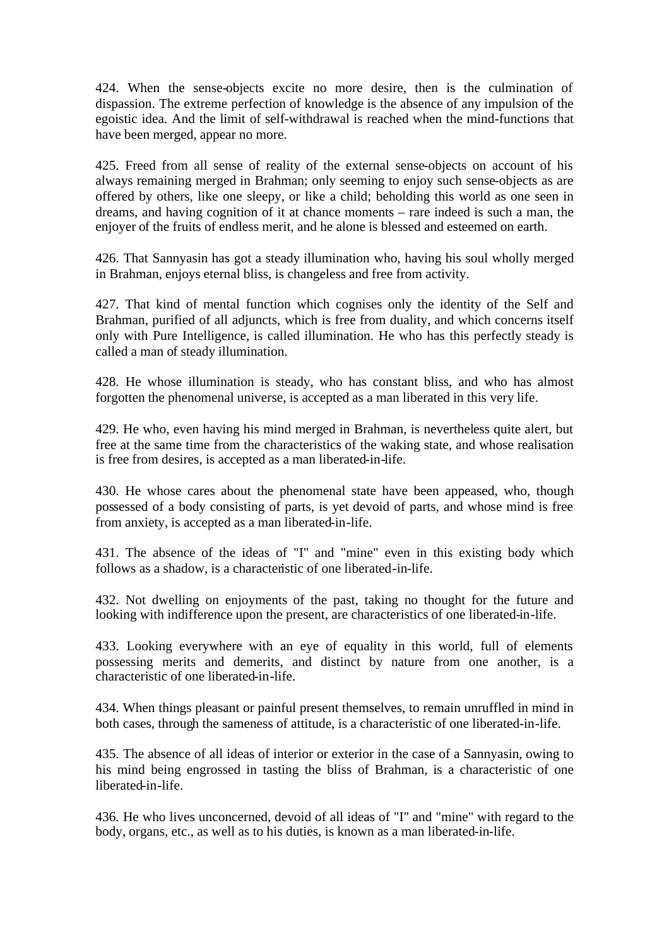424. When the sense-objects excite no more desire, then is the culmination of dispassion. The extreme perfection of knowledge is the absence of any impulsion of the egoistic idea. And the limit of self-withdrawal is reached when the mind-functions that have been merged, appear no more.

425. Freed from all sense of reality of the external sense-objects on account of his always remaining merged in Brahman; only seeming to enjoy such sense-objects as are offered by others, like one sleepy, or like a child; beholding this world as one seen in dreams, and having cognition of it at chance moments – rare indeed is such a man, the enjoyer of the fruits of endless merit, and he alone is blessed and esteemed on earth.

426. That Sannyasin has got a steady illumination who, having his soul wholly merged in Brahman, enjoys eternal bliss, is changeless and free from activity.

427. That kind of mental function which cognises only the identity of the Self and Brahman, purified of all adjuncts, which is free from duality, and which concerns itself only with Pure Intelligence, is called illumination. He who has this perfectly steady is called a man of steady illumination.

428. He whose illumination is steady, who has constant bliss, and who has almost forgotten the phenomenal universe, is accepted as a man liberated in this very life.

429. He who, even having his mind merged in Brahman, is nevertheless quite alert, but free at the same time from the characteristics of the waking state, and whose realisation is free from desires, is accepted as a man liberated-in-life.

430. He whose cares about the phenomenal state have been appeased, who, though possessed of a body consisting of parts, is yet devoid of parts, and whose mind is free from anxiety, is accepted as a man liberated-in-life.

431. The absence of the ideas of "I" and "mine" even in this existing body which follows as a shadow, is a characteristic of one liberated-in-life.

432. Not dwelling on enjoyments of the past, taking no thought for the future and looking with indifference upon the present, are characteristics of one liberated-in-life.

433. Looking everywhere with an eye of equality in this world, full of elements possessing merits and demerits, and distinct by nature from one another, is a characteristic of one liberated-in-life.

434. When things pleasant or painful present themselves, to remain unruffled in mind in both cases, through the sameness of attitude, is a characteristic of one liberated-in-life.

435. The absence of all ideas of interior or exterior in the case of a Sannyasin, owing to his mind being engrossed in tasting the bliss of Brahman, is a characteristic of one liberated-in-life.

436. He who lives unconcerned, devoid of all ideas of "I" and "mine" with regard to the body, organs, etc., as well as to his duties, is known as a man liberated-in-life.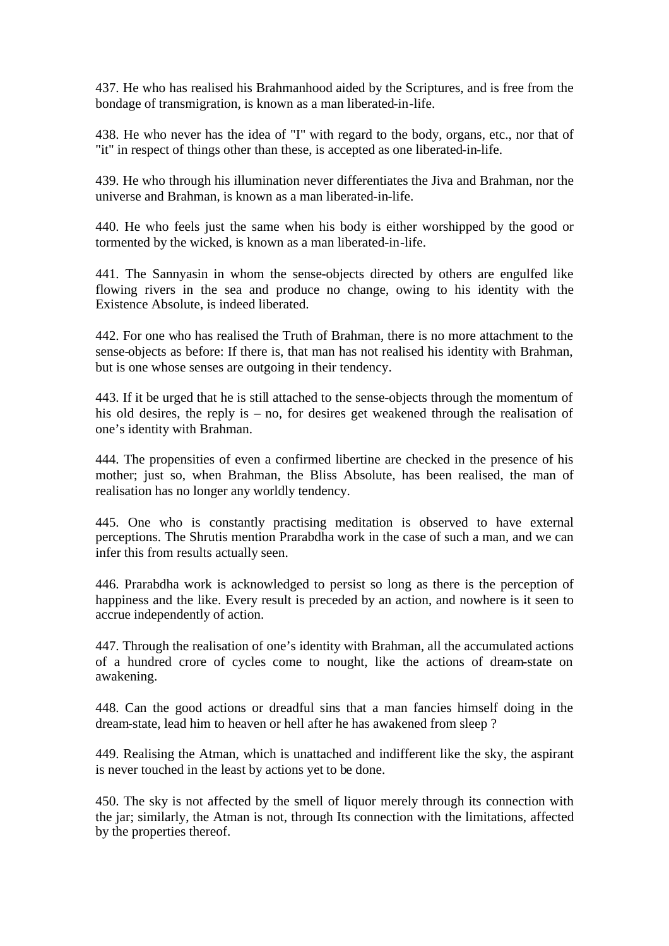437. He who has realised his Brahmanhood aided by the Scriptures, and is free from the bondage of transmigration, is known as a man liberated-in-life.

438. He who never has the idea of "I" with regard to the body, organs, etc., nor that of "it" in respect of things other than these, is accepted as one liberated-in-life.

439. He who through his illumination never differentiates the Jiva and Brahman, nor the universe and Brahman, is known as a man liberated-in-life.

440. He who feels just the same when his body is either worshipped by the good or tormented by the wicked, is known as a man liberated-in-life.

441. The Sannyasin in whom the sense-objects directed by others are engulfed like flowing rivers in the sea and produce no change, owing to his identity with the Existence Absolute, is indeed liberated.

442. For one who has realised the Truth of Brahman, there is no more attachment to the sense-objects as before: If there is, that man has not realised his identity with Brahman, but is one whose senses are outgoing in their tendency.

443. If it be urged that he is still attached to the sense-objects through the momentum of his old desires, the reply is – no, for desires get weakened through the realisation of one's identity with Brahman.

444. The propensities of even a confirmed libertine are checked in the presence of his mother; just so, when Brahman, the Bliss Absolute, has been realised, the man of realisation has no longer any worldly tendency.

445. One who is constantly practising meditation is observed to have external perceptions. The Shrutis mention Prarabdha work in the case of such a man, and we can infer this from results actually seen.

446. Prarabdha work is acknowledged to persist so long as there is the perception of happiness and the like. Every result is preceded by an action, and nowhere is it seen to accrue independently of action.

447. Through the realisation of one's identity with Brahman, all the accumulated actions of a hundred crore of cycles come to nought, like the actions of dream-state on awakening.

448. Can the good actions or dreadful sins that a man fancies himself doing in the dream-state, lead him to heaven or hell after he has awakened from sleep ?

449. Realising the Atman, which is unattached and indifferent like the sky, the aspirant is never touched in the least by actions yet to be done.

450. The sky is not affected by the smell of liquor merely through its connection with the jar; similarly, the Atman is not, through Its connection with the limitations, affected by the properties thereof.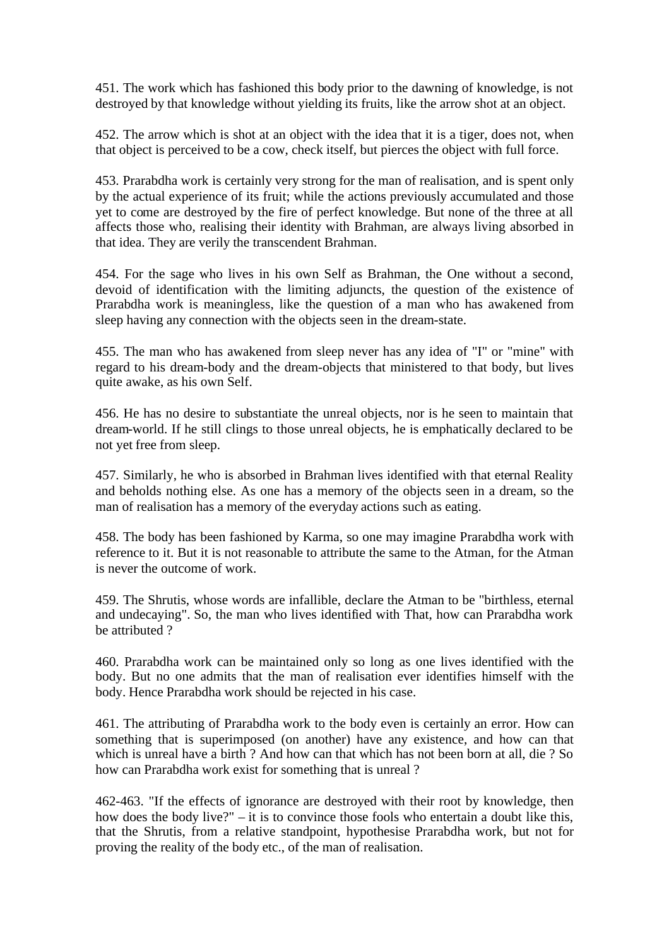451. The work which has fashioned this body prior to the dawning of knowledge, is not destroyed by that knowledge without yielding its fruits, like the arrow shot at an object.

452. The arrow which is shot at an object with the idea that it is a tiger, does not, when that object is perceived to be a cow, check itself, but pierces the object with full force.

453. Prarabdha work is certainly very strong for the man of realisation, and is spent only by the actual experience of its fruit; while the actions previously accumulated and those yet to come are destroyed by the fire of perfect knowledge. But none of the three at all affects those who, realising their identity with Brahman, are always living absorbed in that idea. They are verily the transcendent Brahman.

454. For the sage who lives in his own Self as Brahman, the One without a second, devoid of identification with the limiting adjuncts, the question of the existence of Prarabdha work is meaningless, like the question of a man who has awakened from sleep having any connection with the objects seen in the dream-state.

455. The man who has awakened from sleep never has any idea of "I" or "mine" with regard to his dream-body and the dream-objects that ministered to that body, but lives quite awake, as his own Self.

456. He has no desire to substantiate the unreal objects, nor is he seen to maintain that dream-world. If he still clings to those unreal objects, he is emphatically declared to be not yet free from sleep.

457. Similarly, he who is absorbed in Brahman lives identified with that eternal Reality and beholds nothing else. As one has a memory of the objects seen in a dream, so the man of realisation has a memory of the everyday actions such as eating.

458. The body has been fashioned by Karma, so one may imagine Prarabdha work with reference to it. But it is not reasonable to attribute the same to the Atman, for the Atman is never the outcome of work.

459. The Shrutis, whose words are infallible, declare the Atman to be "birthless, eternal and undecaying". So, the man who lives identified with That, how can Prarabdha work be attributed ?

460. Prarabdha work can be maintained only so long as one lives identified with the body. But no one admits that the man of realisation ever identifies himself with the body. Hence Prarabdha work should be rejected in his case.

461. The attributing of Prarabdha work to the body even is certainly an error. How can something that is superimposed (on another) have any existence, and how can that which is unreal have a birth ? And how can that which has not been born at all, die ? So how can Prarabdha work exist for something that is unreal ?

462-463. "If the effects of ignorance are destroyed with their root by knowledge, then how does the body live?" – it is to convince those fools who entertain a doubt like this, that the Shrutis, from a relative standpoint, hypothesise Prarabdha work, but not for proving the reality of the body etc., of the man of realisation.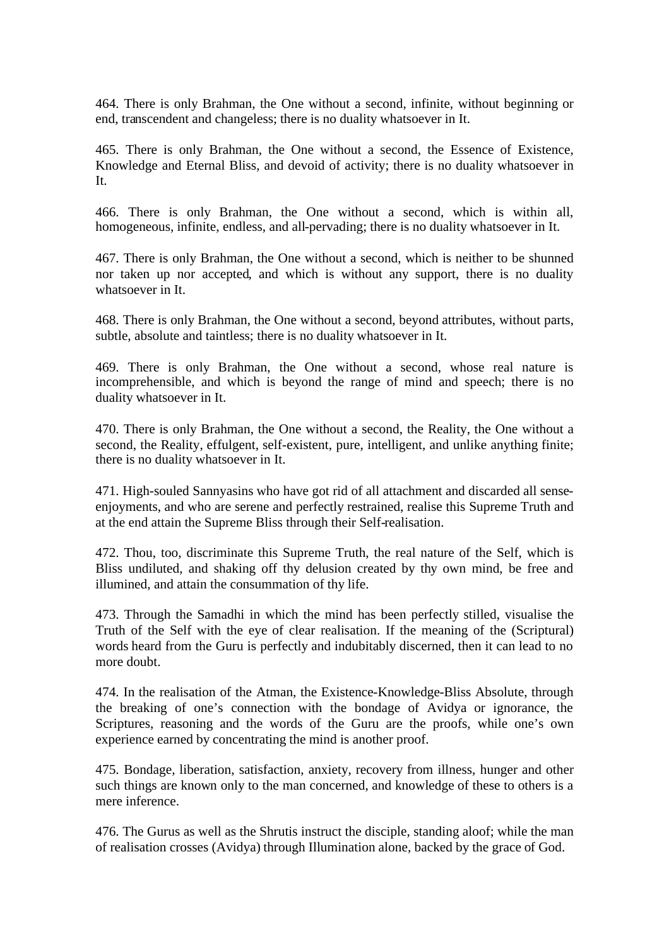464. There is only Brahman, the One without a second, infinite, without beginning or end, transcendent and changeless; there is no duality whatsoever in It.

465. There is only Brahman, the One without a second, the Essence of Existence, Knowledge and Eternal Bliss, and devoid of activity; there is no duality whatsoever in It.

466. There is only Brahman, the One without a second, which is within all, homogeneous, infinite, endless, and all-pervading; there is no duality whatsoever in It.

467. There is only Brahman, the One without a second, which is neither to be shunned nor taken up nor accepted, and which is without any support, there is no duality whatsoever in It.

468. There is only Brahman, the One without a second, beyond attributes, without parts, subtle, absolute and taintless; there is no duality whatsoever in It.

469. There is only Brahman, the One without a second, whose real nature is incomprehensible, and which is beyond the range of mind and speech; there is no duality whatsoever in It.

470. There is only Brahman, the One without a second, the Reality, the One without a second, the Reality, effulgent, self-existent, pure, intelligent, and unlike anything finite; there is no duality whatsoever in It.

471. High-souled Sannyasins who have got rid of all attachment and discarded all senseenjoyments, and who are serene and perfectly restrained, realise this Supreme Truth and at the end attain the Supreme Bliss through their Self-realisation.

472. Thou, too, discriminate this Supreme Truth, the real nature of the Self, which is Bliss undiluted, and shaking off thy delusion created by thy own mind, be free and illumined, and attain the consummation of thy life.

473. Through the Samadhi in which the mind has been perfectly stilled, visualise the Truth of the Self with the eye of clear realisation. If the meaning of the (Scriptural) words heard from the Guru is perfectly and indubitably discerned, then it can lead to no more doubt.

474. In the realisation of the Atman, the Existence-Knowledge-Bliss Absolute, through the breaking of one's connection with the bondage of Avidya or ignorance, the Scriptures, reasoning and the words of the Guru are the proofs, while one's own experience earned by concentrating the mind is another proof.

475. Bondage, liberation, satisfaction, anxiety, recovery from illness, hunger and other such things are known only to the man concerned, and knowledge of these to others is a mere inference.

476. The Gurus as well as the Shrutis instruct the disciple, standing aloof; while the man of realisation crosses (Avidya) through Illumination alone, backed by the grace of God.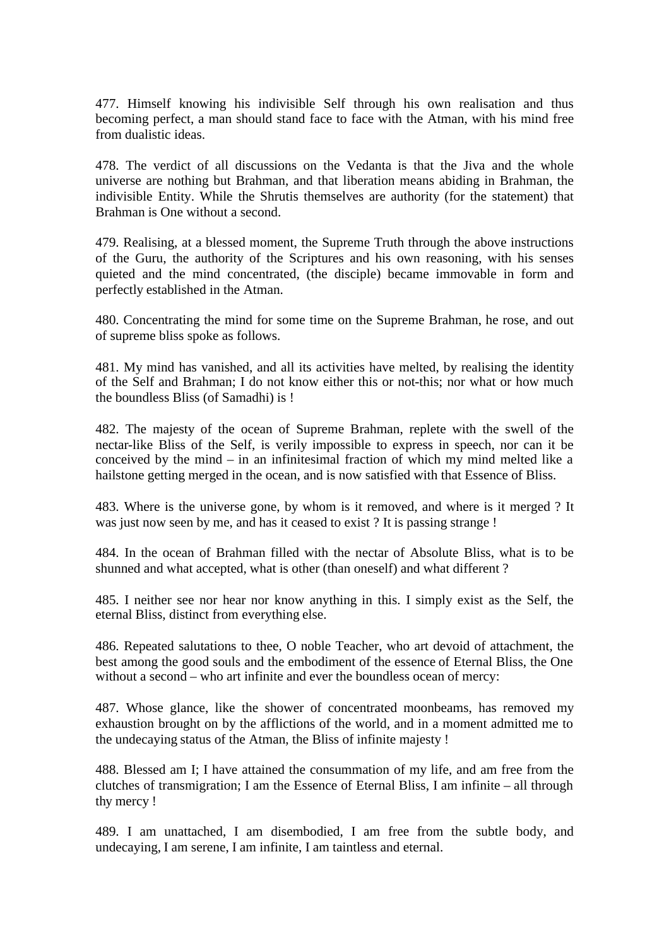477. Himself knowing his indivisible Self through his own realisation and thus becoming perfect, a man should stand face to face with the Atman, with his mind free from dualistic ideas.

478. The verdict of all discussions on the Vedanta is that the Jiva and the whole universe are nothing but Brahman, and that liberation means abiding in Brahman, the indivisible Entity. While the Shrutis themselves are authority (for the statement) that Brahman is One without a second.

479. Realising, at a blessed moment, the Supreme Truth through the above instructions of the Guru, the authority of the Scriptures and his own reasoning, with his senses quieted and the mind concentrated, (the disciple) became immovable in form and perfectly established in the Atman.

480. Concentrating the mind for some time on the Supreme Brahman, he rose, and out of supreme bliss spoke as follows.

481. My mind has vanished, and all its activities have melted, by realising the identity of the Self and Brahman; I do not know either this or not-this; nor what or how much the boundless Bliss (of Samadhi) is !

482. The majesty of the ocean of Supreme Brahman, replete with the swell of the nectar-like Bliss of the Self, is verily impossible to express in speech, nor can it be conceived by the mind – in an infinitesimal fraction of which my mind melted like a hailstone getting merged in the ocean, and is now satisfied with that Essence of Bliss.

483. Where is the universe gone, by whom is it removed, and where is it merged ? It was just now seen by me, and has it ceased to exist ? It is passing strange !

484. In the ocean of Brahman filled with the nectar of Absolute Bliss, what is to be shunned and what accepted, what is other (than oneself) and what different ?

485. I neither see nor hear nor know anything in this. I simply exist as the Self, the eternal Bliss, distinct from everything else.

486. Repeated salutations to thee, O noble Teacher, who art devoid of attachment, the best among the good souls and the embodiment of the essence of Eternal Bliss, the One without a second – who art infinite and ever the boundless ocean of mercy:

487. Whose glance, like the shower of concentrated moonbeams, has removed my exhaustion brought on by the afflictions of the world, and in a moment admitted me to the undecaying status of the Atman, the Bliss of infinite majesty !

488. Blessed am I; I have attained the consummation of my life, and am free from the clutches of transmigration; I am the Essence of Eternal Bliss, I am infinite – all through thy mercy !

489. I am unattached, I am disembodied, I am free from the subtle body, and undecaying, I am serene, I am infinite, I am taintless and eternal.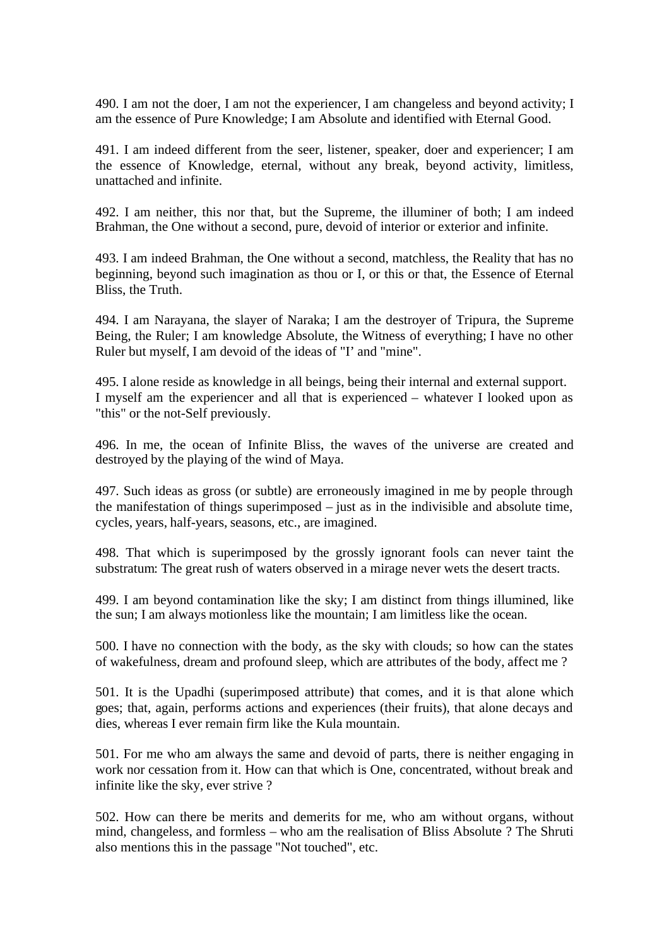490. I am not the doer, I am not the experiencer, I am changeless and beyond activity; I am the essence of Pure Knowledge; I am Absolute and identified with Eternal Good.

491. I am indeed different from the seer, listener, speaker, doer and experiencer; I am the essence of Knowledge, eternal, without any break, beyond activity, limitless, unattached and infinite.

492. I am neither, this nor that, but the Supreme, the illuminer of both; I am indeed Brahman, the One without a second, pure, devoid of interior or exterior and infinite.

493. I am indeed Brahman, the One without a second, matchless, the Reality that has no beginning, beyond such imagination as thou or I, or this or that, the Essence of Eternal Bliss, the Truth.

494. I am Narayana, the slayer of Naraka; I am the destroyer of Tripura, the Supreme Being, the Ruler; I am knowledge Absolute, the Witness of everything; I have no other Ruler but myself, I am devoid of the ideas of "I' and "mine".

495. I alone reside as knowledge in all beings, being their internal and external support. I myself am the experiencer and all that is experienced – whatever I looked upon as "this" or the not-Self previously.

496. In me, the ocean of Infinite Bliss, the waves of the universe are created and destroyed by the playing of the wind of Maya.

497. Such ideas as gross (or subtle) are erroneously imagined in me by people through the manifestation of things superimposed – just as in the indivisible and absolute time, cycles, years, half-years, seasons, etc., are imagined.

498. That which is superimposed by the grossly ignorant fools can never taint the substratum: The great rush of waters observed in a mirage never wets the desert tracts.

499. I am beyond contamination like the sky; I am distinct from things illumined, like the sun; I am always motionless like the mountain; I am limitless like the ocean.

500. I have no connection with the body, as the sky with clouds; so how can the states of wakefulness, dream and profound sleep, which are attributes of the body, affect me ?

501. It is the Upadhi (superimposed attribute) that comes, and it is that alone which goes; that, again, performs actions and experiences (their fruits), that alone decays and dies, whereas I ever remain firm like the Kula mountain.

501. For me who am always the same and devoid of parts, there is neither engaging in work nor cessation from it. How can that which is One, concentrated, without break and infinite like the sky, ever strive ?

502. How can there be merits and demerits for me, who am without organs, without mind, changeless, and formless – who am the realisation of Bliss Absolute ? The Shruti also mentions this in the passage "Not touched", etc.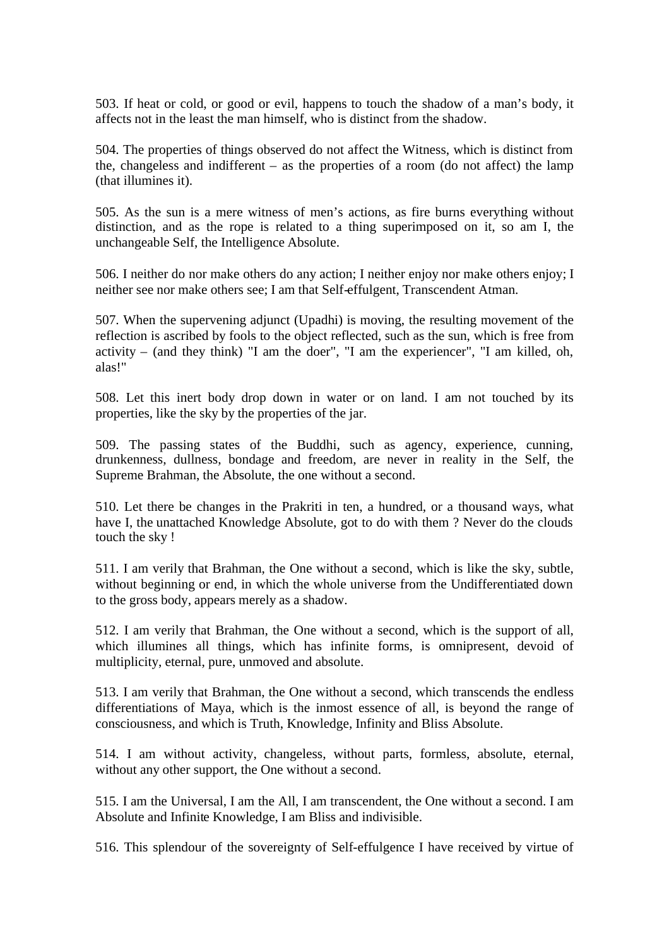503. If heat or cold, or good or evil, happens to touch the shadow of a man's body, it affects not in the least the man himself, who is distinct from the shadow.

504. The properties of things observed do not affect the Witness, which is distinct from the, changeless and indifferent – as the properties of a room (do not affect) the lamp (that illumines it).

505. As the sun is a mere witness of men's actions, as fire burns everything without distinction, and as the rope is related to a thing superimposed on it, so am I, the unchangeable Self, the Intelligence Absolute.

506. I neither do nor make others do any action; I neither enjoy nor make others enjoy; I neither see nor make others see; I am that Self-effulgent, Transcendent Atman.

507. When the supervening adjunct (Upadhi) is moving, the resulting movement of the reflection is ascribed by fools to the object reflected, such as the sun, which is free from activity – (and they think) "I am the doer", "I am the experiencer", "I am killed, oh, alas!"

508. Let this inert body drop down in water or on land. I am not touched by its properties, like the sky by the properties of the jar.

509. The passing states of the Buddhi, such as agency, experience, cunning, drunkenness, dullness, bondage and freedom, are never in reality in the Self, the Supreme Brahman, the Absolute, the one without a second.

510. Let there be changes in the Prakriti in ten, a hundred, or a thousand ways, what have I, the unattached Knowledge Absolute, got to do with them ? Never do the clouds touch the sky !

511. I am verily that Brahman, the One without a second, which is like the sky, subtle, without beginning or end, in which the whole universe from the Undifferentiated down to the gross body, appears merely as a shadow.

512. I am verily that Brahman, the One without a second, which is the support of all, which illumines all things, which has infinite forms, is omnipresent, devoid of multiplicity, eternal, pure, unmoved and absolute.

513. I am verily that Brahman, the One without a second, which transcends the endless differentiations of Maya, which is the inmost essence of all, is beyond the range of consciousness, and which is Truth, Knowledge, Infinity and Bliss Absolute.

514. I am without activity, changeless, without parts, formless, absolute, eternal, without any other support, the One without a second.

515. I am the Universal, I am the All, I am transcendent, the One without a second. I am Absolute and Infinite Knowledge, I am Bliss and indivisible.

516. This splendour of the sovereignty of Self-effulgence I have received by virtue of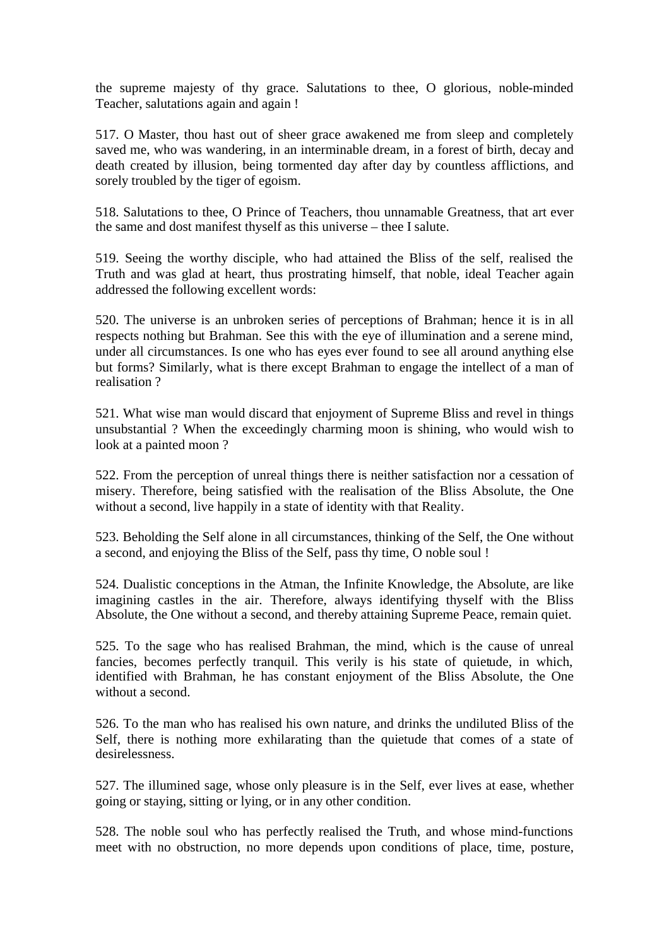the supreme majesty of thy grace. Salutations to thee, O glorious, noble-minded Teacher, salutations again and again !

517. O Master, thou hast out of sheer grace awakened me from sleep and completely saved me, who was wandering, in an interminable dream, in a forest of birth, decay and death created by illusion, being tormented day after day by countless afflictions, and sorely troubled by the tiger of egoism.

518. Salutations to thee, O Prince of Teachers, thou unnamable Greatness, that art ever the same and dost manifest thyself as this universe – thee I salute.

519. Seeing the worthy disciple, who had attained the Bliss of the self, realised the Truth and was glad at heart, thus prostrating himself, that noble, ideal Teacher again addressed the following excellent words:

520. The universe is an unbroken series of perceptions of Brahman; hence it is in all respects nothing but Brahman. See this with the eye of illumination and a serene mind, under all circumstances. Is one who has eyes ever found to see all around anything else but forms? Similarly, what is there except Brahman to engage the intellect of a man of realisation ?

521. What wise man would discard that enjoyment of Supreme Bliss and revel in things unsubstantial ? When the exceedingly charming moon is shining, who would wish to look at a painted moon ?

522. From the perception of unreal things there is neither satisfaction nor a cessation of misery. Therefore, being satisfied with the realisation of the Bliss Absolute, the One without a second, live happily in a state of identity with that Reality.

523. Beholding the Self alone in all circumstances, thinking of the Self, the One without a second, and enjoying the Bliss of the Self, pass thy time, O noble soul !

524. Dualistic conceptions in the Atman, the Infinite Knowledge, the Absolute, are like imagining castles in the air. Therefore, always identifying thyself with the Bliss Absolute, the One without a second, and thereby attaining Supreme Peace, remain quiet.

525. To the sage who has realised Brahman, the mind, which is the cause of unreal fancies, becomes perfectly tranquil. This verily is his state of quietude, in which, identified with Brahman, he has constant enjoyment of the Bliss Absolute, the One without a second.

526. To the man who has realised his own nature, and drinks the undiluted Bliss of the Self, there is nothing more exhilarating than the quietude that comes of a state of desirelessness.

527. The illumined sage, whose only pleasure is in the Self, ever lives at ease, whether going or staying, sitting or lying, or in any other condition.

528. The noble soul who has perfectly realised the Truth, and whose mind-functions meet with no obstruction, no more depends upon conditions of place, time, posture,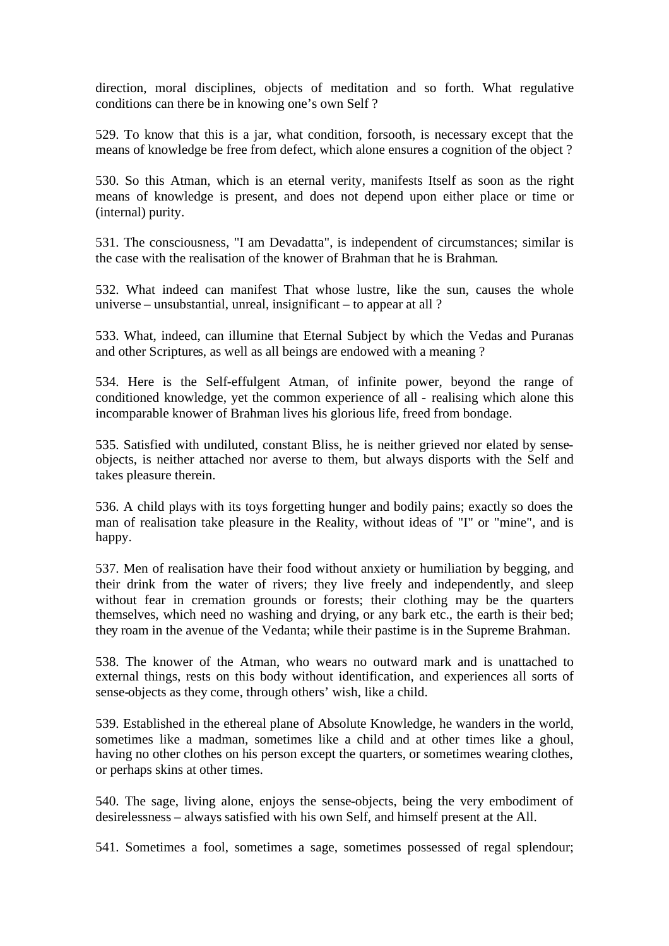direction, moral disciplines, objects of meditation and so forth. What regulative conditions can there be in knowing one's own Self ?

529. To know that this is a jar, what condition, forsooth, is necessary except that the means of knowledge be free from defect, which alone ensures a cognition of the object ?

530. So this Atman, which is an eternal verity, manifests Itself as soon as the right means of knowledge is present, and does not depend upon either place or time or (internal) purity.

531. The consciousness, "I am Devadatta", is independent of circumstances; similar is the case with the realisation of the knower of Brahman that he is Brahman.

532. What indeed can manifest That whose lustre, like the sun, causes the whole universe – unsubstantial, unreal, insignificant – to appear at all ?

533. What, indeed, can illumine that Eternal Subject by which the Vedas and Puranas and other Scriptures, as well as all beings are endowed with a meaning ?

534. Here is the Self-effulgent Atman, of infinite power, beyond the range of conditioned knowledge, yet the common experience of all - realising which alone this incomparable knower of Brahman lives his glorious life, freed from bondage.

535. Satisfied with undiluted, constant Bliss, he is neither grieved nor elated by senseobjects, is neither attached nor averse to them, but always disports with the Self and takes pleasure therein.

536. A child plays with its toys forgetting hunger and bodily pains; exactly so does the man of realisation take pleasure in the Reality, without ideas of "I" or "mine", and is happy.

537. Men of realisation have their food without anxiety or humiliation by begging, and their drink from the water of rivers; they live freely and independently, and sleep without fear in cremation grounds or forests; their clothing may be the quarters themselves, which need no washing and drying, or any bark etc., the earth is their bed; they roam in the avenue of the Vedanta; while their pastime is in the Supreme Brahman.

538. The knower of the Atman, who wears no outward mark and is unattached to external things, rests on this body without identification, and experiences all sorts of sense-objects as they come, through others' wish, like a child.

539. Established in the ethereal plane of Absolute Knowledge, he wanders in the world, sometimes like a madman, sometimes like a child and at other times like a ghoul, having no other clothes on his person except the quarters, or sometimes wearing clothes, or perhaps skins at other times.

540. The sage, living alone, enjoys the sense-objects, being the very embodiment of desirelessness – always satisfied with his own Self, and himself present at the All.

541. Sometimes a fool, sometimes a sage, sometimes possessed of regal splendour;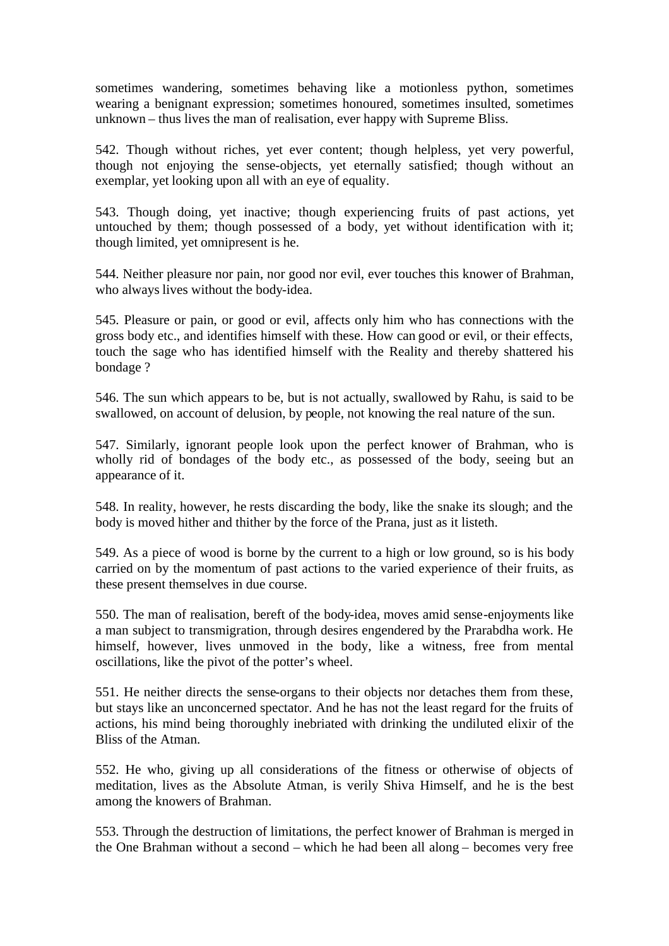sometimes wandering, sometimes behaving like a motionless python, sometimes wearing a benignant expression; sometimes honoured, sometimes insulted, sometimes unknown – thus lives the man of realisation, ever happy with Supreme Bliss.

542. Though without riches, yet ever content; though helpless, yet very powerful, though not enjoying the sense-objects, yet eternally satisfied; though without an exemplar, yet looking upon all with an eye of equality.

543. Though doing, yet inactive; though experiencing fruits of past actions, yet untouched by them; though possessed of a body, yet without identification with it; though limited, yet omnipresent is he.

544. Neither pleasure nor pain, nor good nor evil, ever touches this knower of Brahman, who always lives without the body-idea.

545. Pleasure or pain, or good or evil, affects only him who has connections with the gross body etc., and identifies himself with these. How can good or evil, or their effects, touch the sage who has identified himself with the Reality and thereby shattered his bondage ?

546. The sun which appears to be, but is not actually, swallowed by Rahu, is said to be swallowed, on account of delusion, by people, not knowing the real nature of the sun.

547. Similarly, ignorant people look upon the perfect knower of Brahman, who is wholly rid of bondages of the body etc., as possessed of the body, seeing but an appearance of it.

548. In reality, however, he rests discarding the body, like the snake its slough; and the body is moved hither and thither by the force of the Prana, just as it listeth.

549. As a piece of wood is borne by the current to a high or low ground, so is his body carried on by the momentum of past actions to the varied experience of their fruits, as these present themselves in due course.

550. The man of realisation, bereft of the body-idea, moves amid sense-enjoyments like a man subject to transmigration, through desires engendered by the Prarabdha work. He himself, however, lives unmoved in the body, like a witness, free from mental oscillations, like the pivot of the potter's wheel.

551. He neither directs the sense-organs to their objects nor detaches them from these, but stays like an unconcerned spectator. And he has not the least regard for the fruits of actions, his mind being thoroughly inebriated with drinking the undiluted elixir of the Bliss of the Atman.

552. He who, giving up all considerations of the fitness or otherwise of objects of meditation, lives as the Absolute Atman, is verily Shiva Himself, and he is the best among the knowers of Brahman.

553. Through the destruction of limitations, the perfect knower of Brahman is merged in the One Brahman without a second – which he had been all along – becomes very free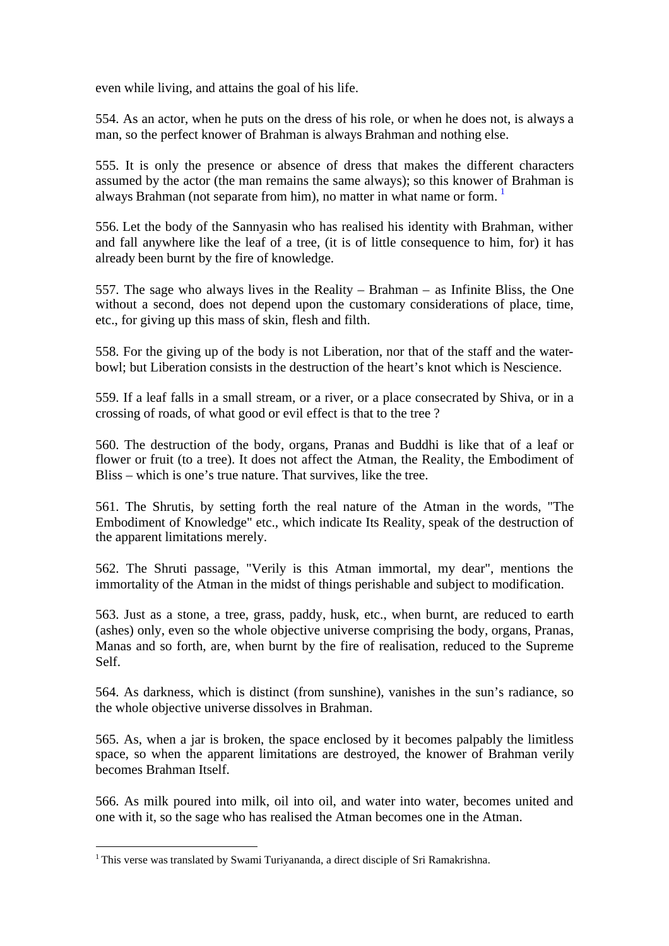even while living, and attains the goal of his life.

554. As an actor, when he puts on the dress of his role, or when he does not, is always a man, so the perfect knower of Brahman is always Brahman and nothing else.

555. It is only the presence or absence of dress that makes the different characters assumed by the actor (the man remains the same always); so this knower of Brahman is always Brahman (not separate from him), no matter in what name or form.  $1$ 

556. Let the body of the Sannyasin who has realised his identity with Brahman, wither and fall anywhere like the leaf of a tree, (it is of little consequence to him, for) it has already been burnt by the fire of knowledge.

557. The sage who always lives in the Reality – Brahman – as Infinite Bliss, the One without a second, does not depend upon the customary considerations of place, time, etc., for giving up this mass of skin, flesh and filth.

558. For the giving up of the body is not Liberation, nor that of the staff and the waterbowl; but Liberation consists in the destruction of the heart's knot which is Nescience.

559. If a leaf falls in a small stream, or a river, or a place consecrated by Shiva, or in a crossing of roads, of what good or evil effect is that to the tree ?

560. The destruction of the body, organs, Pranas and Buddhi is like that of a leaf or flower or fruit (to a tree). It does not affect the Atman, the Reality, the Embodiment of Bliss – which is one's true nature. That survives, like the tree.

561. The Shrutis, by setting forth the real nature of the Atman in the words, "The Embodiment of Knowledge" etc., which indicate Its Reality, speak of the destruction of the apparent limitations merely.

562. The Shruti passage, "Verily is this Atman immortal, my dear", mentions the immortality of the Atman in the midst of things perishable and subject to modification.

563. Just as a stone, a tree, grass, paddy, husk, etc., when burnt, are reduced to earth (ashes) only, even so the whole objective universe comprising the body, organs, Pranas, Manas and so forth, are, when burnt by the fire of realisation, reduced to the Supreme Self.

564. As darkness, which is distinct (from sunshine), vanishes in the sun's radiance, so the whole objective universe dissolves in Brahman.

565. As, when a jar is broken, the space enclosed by it becomes palpably the limitless space, so when the apparent limitations are destroyed, the knower of Brahman verily becomes Brahman Itself.

566. As milk poured into milk, oil into oil, and water into water, becomes united and one with it, so the sage who has realised the Atman becomes one in the Atman.

<span id="page-44-0"></span><sup>&</sup>lt;sup>1</sup> This verse was translated by Swami Turiyananda, a direct disciple of Sri Ramakrishna.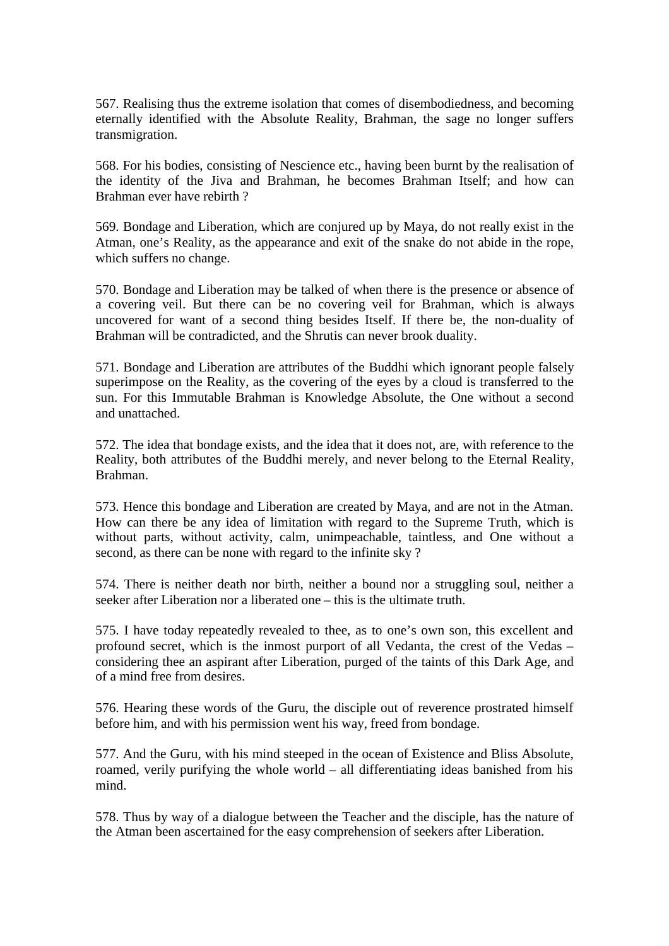567. Realising thus the extreme isolation that comes of disembodiedness, and becoming eternally identified with the Absolute Reality, Brahman, the sage no longer suffers transmigration.

568. For his bodies, consisting of Nescience etc., having been burnt by the realisation of the identity of the Jiva and Brahman, he becomes Brahman Itself; and how can Brahman ever have rebirth ?

569. Bondage and Liberation, which are conjured up by Maya, do not really exist in the Atman, one's Reality, as the appearance and exit of the snake do not abide in the rope, which suffers no change.

570. Bondage and Liberation may be talked of when there is the presence or absence of a covering veil. But there can be no covering veil for Brahman, which is always uncovered for want of a second thing besides Itself. If there be, the non-duality of Brahman will be contradicted, and the Shrutis can never brook duality.

571. Bondage and Liberation are attributes of the Buddhi which ignorant people falsely superimpose on the Reality, as the covering of the eyes by a cloud is transferred to the sun. For this Immutable Brahman is Knowledge Absolute, the One without a second and unattached.

572. The idea that bondage exists, and the idea that it does not, are, with reference to the Reality, both attributes of the Buddhi merely, and never belong to the Eternal Reality, Brahman.

573. Hence this bondage and Liberation are created by Maya, and are not in the Atman. How can there be any idea of limitation with regard to the Supreme Truth, which is without parts, without activity, calm, unimpeachable, taintless, and One without a second, as there can be none with regard to the infinite sky ?

574. There is neither death nor birth, neither a bound nor a struggling soul, neither a seeker after Liberation nor a liberated one – this is the ultimate truth.

575. I have today repeatedly revealed to thee, as to one's own son, this excellent and profound secret, which is the inmost purport of all Vedanta, the crest of the Vedas – considering thee an aspirant after Liberation, purged of the taints of this Dark Age, and of a mind free from desires.

576. Hearing these words of the Guru, the disciple out of reverence prostrated himself before him, and with his permission went his way, freed from bondage.

577. And the Guru, with his mind steeped in the ocean of Existence and Bliss Absolute, roamed, verily purifying the whole world – all differentiating ideas banished from his mind.

578. Thus by way of a dialogue between the Teacher and the disciple, has the nature of the Atman been ascertained for the easy comprehension of seekers after Liberation.